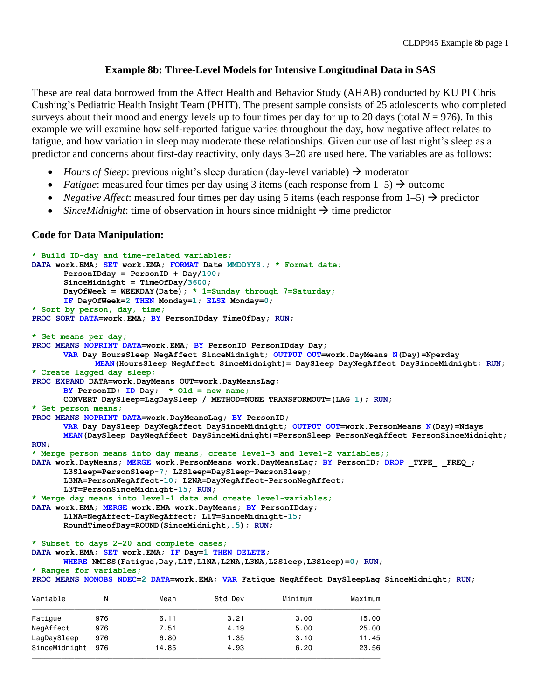## **Example 8b: Three-Level Models for Intensive Longitudinal Data in SAS**

These are real data borrowed from the Affect Health and Behavior Study (AHAB) conducted by KU PI Chris Cushing's Pediatric Health Insight Team (PHIT). The present sample consists of 25 adolescents who completed surveys about their mood and energy levels up to four times per day for up to 20 days (total  $N = 976$ ). In this example we will examine how self-reported fatigue varies throughout the day, how negative affect relates to fatigue, and how variation in sleep may moderate these relationships. Given our use of last night's sleep as a predictor and concerns about first-day reactivity, only days 3–20 are used here. The variables are as follows:

- *Hours of Sleep*: previous night's sleep duration (day-level variable)  $\rightarrow$  moderator
- *Fatigue*: measured four times per day using 3 items (each response from  $1-5$ )  $\rightarrow$  outcome
- *Negative Affect*: measured four times per day using 5 items (each response from  $1-5$ )  $\rightarrow$  predictor
- *SinceMidnight*: time of observation in hours since midnight  $\rightarrow$  time predictor

<u>тольно технологического друзу доступала также доступности технологического собстания от технологического собста</u>

## **Code for Data Manipulation:**

```
* Build ID-day and time-related variables;
DATA work.EMA; SET work.EMA; FORMAT Date MMDDYY8.; * Format date;
      PersonIDday = PersonID + Day/100;
      SinceMidnight = TimeOfDay/3600; 
      DayOfWeek = WEEKDAY(Date); * 1=Sunday through 7=Saturday;
      IF DayOfWeek=2 THEN Monday=1; ELSE Monday=0;
* Sort by person, day, time;
PROC SORT DATA=work.EMA; BY PersonIDday TimeOfDay; RUN;
* Get means per day;
PROC MEANS NOPRINT DATA=work.EMA; BY PersonID PersonIDday Day; 
      VAR Day HoursSleep NegAffect SinceMidnight; OUTPUT OUT=work.DayMeans N(Day)=Nperday
            MEAN(HoursSleep NegAffect SinceMidnight)= DaySleep DayNegAffect DaySinceMidnight; RUN;
* Create lagged day sleep;
PROC EXPAND DATA=work.DayMeans OUT=work.DayMeansLag;
      BY PersonID; ID Day; * Old = new name;
      CONVERT DaySleep=LagDaySleep / METHOD=NONE TRANSFORMOUT=(LAG 1); RUN;
* Get person means;
PROC MEANS NOPRINT DATA=work.DayMeansLag; BY PersonID; 
      VAR Day DaySleep DayNegAffect DaySinceMidnight; OUTPUT OUT=work.PersonMeans N(Day)=Ndays
      MEAN(DaySleep DayNegAffect DaySinceMidnight)=PersonSleep PersonNegAffect PersonSinceMidnight;
RUN;
* Merge person means into day means, create level-3 and level-2 variables;;
DATA work.DayMeans; MERGE work.PersonMeans work.DayMeansLag; BY PersonID; DROP _TYPE_ _FREQ_; 
      L3Sleep=PersonSleep-7; L2Sleep=DaySleep-PersonSleep;
      L3NA=PersonNegAffect-10; L2NA=DayNegAffect-PersonNegAffect;
      L3T=PersonSinceMidnight-15; RUN;
* Merge day means into level-1 data and create level-variables;
DATA work.EMA; MERGE work.EMA work.DayMeans; BY PersonIDday; 
      L1NA=NegAffect-DayNegAffect; L1T=SinceMidnight-15;
      RoundTimeofDay=ROUND(SinceMidnight,.5); RUN;
* Subset to days 2-20 and complete cases;
DATA work.EMA; SET work.EMA; IF Day=1 THEN DELETE;
      WHERE NMISS(Fatigue,Day,L1T,L1NA,L2NA,L3NA,L2Sleep,L3Sleep)=0; RUN;
* Ranges for variables;
PROC MEANS NONOBS NDEC=2 DATA=work.EMA; VAR Fatigue NegAffect DaySleepLag SinceMidnight; RUN;
Variable N Mean Std Dev Minimum Maximum
ƒƒƒƒƒƒƒƒƒƒƒƒƒƒƒƒƒƒƒƒƒƒƒƒƒƒƒƒƒƒƒƒƒƒƒƒƒƒƒƒƒƒƒƒƒƒƒƒƒƒƒƒƒƒƒƒƒƒƒƒƒƒƒƒƒƒƒƒƒƒƒƒƒƒƒƒƒƒƒƒƒƒ
Fatigue 976 6.11 3.21 3.00 15.00
NegAffect 976 7.51 4.19 5.00 25.00
LagDaySleep 976 6.80 1.35 3.10 11.45
SinceMidnight 976 14.85 4.93 6.20 23.56
```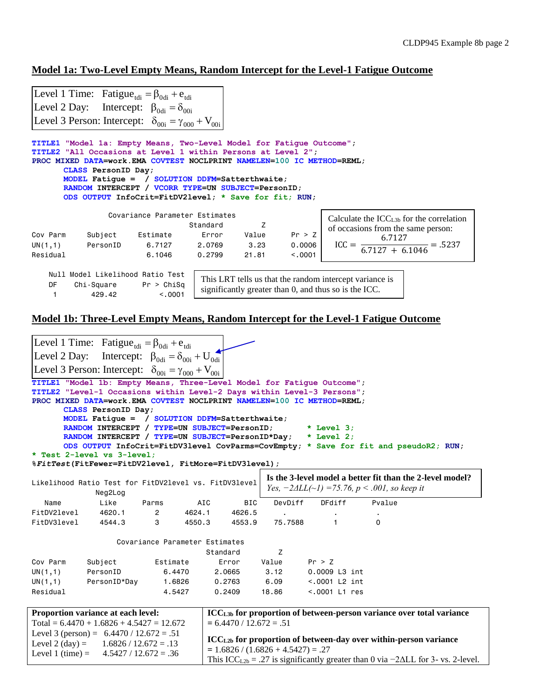## **Model 1a: Two-Level Empty Means, Random Intercept for the Level-1 Fatigue Outcome**

|                                                                                                                                        | Level 1 Time: Fatigue <sub>tdi</sub> = $\beta_{\text{odd}}$ + $e_{\text{tdi}}$                              |                                |          |             |         |                                                             |  |  |  |  |  |
|----------------------------------------------------------------------------------------------------------------------------------------|-------------------------------------------------------------------------------------------------------------|--------------------------------|----------|-------------|---------|-------------------------------------------------------------|--|--|--|--|--|
|                                                                                                                                        | Level 2 Day: Intercept: $\beta_{\text{odi}} = \delta_{\text{ooi}}$                                          |                                |          |             |         |                                                             |  |  |  |  |  |
|                                                                                                                                        | Level 3 Person: Intercept: $\delta_{00i} = \gamma_{000} + V_{00i}$                                          |                                |          |             |         |                                                             |  |  |  |  |  |
| TITLE1 "Model 1a: Empty Means, Two-Level Model for Fatique Outcome";                                                                   |                                                                                                             |                                |          |             |         |                                                             |  |  |  |  |  |
| TITLE2 "All Occasions at Level 1 within Persons at Level 2";<br>PROC MIXED DATA=work.EMA COVTEST NOCLPRINT NAMELEN=100 IC METHOD=REML; |                                                                                                             |                                |          |             |         |                                                             |  |  |  |  |  |
|                                                                                                                                        | CLASS PersonID Day;                                                                                         |                                |          |             |         |                                                             |  |  |  |  |  |
|                                                                                                                                        | MODEL Fatigue = $/$ SOLUTION DDFM=Satterthwaite;                                                            |                                |          |             |         |                                                             |  |  |  |  |  |
|                                                                                                                                        | RANDOM INTERCEPT / VCORR TYPE=UN SUBJECT=PersonID;<br>ODS OUTPUT InfoCrit=FitDV2level; * Save for fit; RUN; |                                |          |             |         |                                                             |  |  |  |  |  |
|                                                                                                                                        |                                                                                                             |                                |          |             |         |                                                             |  |  |  |  |  |
|                                                                                                                                        |                                                                                                             | Covariance Parameter Estimates |          |             |         | Calculate the $\text{ICC}_{\text{L3b}}$ for the correlation |  |  |  |  |  |
|                                                                                                                                        |                                                                                                             |                                | Standard | Z           |         | of occasions from the same person:                          |  |  |  |  |  |
| Cov Parm                                                                                                                               |                                                                                                             | Subject Estimate               |          | Error Value | Pr > Z  |                                                             |  |  |  |  |  |
|                                                                                                                                        | $UN(1,1)$ PersonID                                                                                          | 6.7127   2.0769   3.23         |          |             | 0.0006  | $ICC = \frac{6.7127}{6.7127 + 6.1046} = .5237$              |  |  |  |  |  |
| Residual                                                                                                                               |                                                                                                             | 6.1046                         | 0.2799   | 21.81       | < 0.001 |                                                             |  |  |  |  |  |
|                                                                                                                                        | Null Model Likelihood Ratio Test                                                                            |                                |          |             |         |                                                             |  |  |  |  |  |
| DF                                                                                                                                     |                                                                                                             |                                |          |             |         | This LRT tells us that the random intercept variance is     |  |  |  |  |  |
|                                                                                                                                        | $Chi-Square$ Pr > $ChiSq$<br>429.42                                                                         | < 0.001                        |          |             |         | significantly greater than 0, and thus so is the ICC.       |  |  |  |  |  |
|                                                                                                                                        |                                                                                                             |                                |          |             |         |                                                             |  |  |  |  |  |

# **Model 1b: Three-Level Empty Means, Random Intercept for the Level-1 Fatigue Outcome**

|                                                                                                                  | Level 1 Time: Fatigue <sub>tdi</sub> = $\beta_{0}$ <sub>di</sub> + e <sub>tdi</sub>                                                                                                |                                |                  |                           |                                      |                  |  |          |                                                                                                      |  |  |  |  |
|------------------------------------------------------------------------------------------------------------------|------------------------------------------------------------------------------------------------------------------------------------------------------------------------------------|--------------------------------|------------------|---------------------------|--------------------------------------|------------------|--|----------|------------------------------------------------------------------------------------------------------|--|--|--|--|
|                                                                                                                  | Level 2 Day: Intercept: $\beta_{\text{odi}} = \delta_{\text{ooi}} + U_{\text{odi}}$                                                                                                |                                |                  |                           |                                      |                  |  |          |                                                                                                      |  |  |  |  |
|                                                                                                                  | Level 3 Person: Intercept: $\delta_{00i} = \gamma_{000} + V_{00i}$                                                                                                                 |                                |                  |                           |                                      |                  |  |          |                                                                                                      |  |  |  |  |
|                                                                                                                  | TITLE1 "Model 1b: Empty Means, Three-Level Model for Fatigue Outcome";                                                                                                             |                                |                  |                           |                                      |                  |  |          |                                                                                                      |  |  |  |  |
|                                                                                                                  | TITLE2 "Level-1 Occasions within Level-2 Days within Level-3 Persons";                                                                                                             |                                |                  |                           |                                      |                  |  |          |                                                                                                      |  |  |  |  |
|                                                                                                                  | PROC MIXED DATA=work.EMA COVTEST NOCLPRINT NAMELEN=100 IC METHOD=REML;                                                                                                             |                                |                  |                           |                                      |                  |  |          |                                                                                                      |  |  |  |  |
| CLASS PersonID Day;                                                                                              |                                                                                                                                                                                    |                                |                  |                           |                                      |                  |  |          |                                                                                                      |  |  |  |  |
| MODEL Fatique = $/$ SOLUTION DDFM=Satterthwaite;<br>RANDOM INTERCEPT / TYPE=UN SUBJECT=PersonID;<br>$*$ Level 3; |                                                                                                                                                                                    |                                |                  |                           |                                      |                  |  |          |                                                                                                      |  |  |  |  |
|                                                                                                                  | RANDOM INTERCEPT / TYPE=UN SUBJECT=PersonID*Day;                                                                                                                                   |                                |                  |                           |                                      | $*$ Level 2;     |  |          |                                                                                                      |  |  |  |  |
|                                                                                                                  |                                                                                                                                                                                    |                                |                  |                           |                                      |                  |  |          | ODS OUTPUT InfoCrit=FitDV3level CovParms=CovEmpty; * Save for fit and pseudoR2; RUN;                 |  |  |  |  |
|                                                                                                                  | * Test 2-level vs 3-level;                                                                                                                                                         |                                |                  |                           |                                      |                  |  |          |                                                                                                      |  |  |  |  |
|                                                                                                                  | %FitTest(FitFewer=FitDV2level, FitMore=FitDV3level);                                                                                                                               |                                |                  |                           |                                      |                  |  |          |                                                                                                      |  |  |  |  |
|                                                                                                                  | Is the 3-level model a better fit than the 2-level model?<br>Likelihood Ratio Test for FitDV2level vs. FitDV3level<br>Yes, $-2\Delta LL(\sim l) = 75.76$ , $p < .001$ , so keep it |                                |                  |                           |                                      |                  |  |          |                                                                                                      |  |  |  |  |
|                                                                                                                  | Neg2Log                                                                                                                                                                            |                                |                  |                           |                                      |                  |  |          |                                                                                                      |  |  |  |  |
| Name                                                                                                             | Like                                                                                                                                                                               | Parms                          | AIC              | <b>BIC</b>                | DevDiff                              | DFdiff           |  | Pvalue   |                                                                                                      |  |  |  |  |
| FitDV2level<br>FitDV3level                                                                                       | 4620.1<br>4544.3                                                                                                                                                                   | $\mathbf{2}$<br>3              | 4624.1<br>4550.3 | 4626.5<br>4553.9          | 75,7588                              | $\mathbf{1}$     |  | $\Omega$ |                                                                                                      |  |  |  |  |
|                                                                                                                  |                                                                                                                                                                                    |                                |                  |                           |                                      |                  |  |          |                                                                                                      |  |  |  |  |
|                                                                                                                  |                                                                                                                                                                                    | Covariance Parameter Estimates |                  |                           |                                      |                  |  |          |                                                                                                      |  |  |  |  |
|                                                                                                                  |                                                                                                                                                                                    |                                |                  | Standard                  | Z                                    |                  |  |          |                                                                                                      |  |  |  |  |
| Cov Parm                                                                                                         | Subject                                                                                                                                                                            | Estimate                       |                  | Error                     | Value                                | Pr > Z           |  |          |                                                                                                      |  |  |  |  |
| UN(1,1)                                                                                                          | PersonID                                                                                                                                                                           | 6,4470                         |                  | 2,0665                    | 3.12                                 | 0.0009 L3 int    |  |          |                                                                                                      |  |  |  |  |
| UN(1,1)                                                                                                          | PersonID*Day                                                                                                                                                                       | 1.6826                         |                  | 0.2763                    | 6.09                                 | $< .0001$ L2 int |  |          |                                                                                                      |  |  |  |  |
| Residual                                                                                                         |                                                                                                                                                                                    | 4.5427                         |                  | 0.2409                    | 18.86                                | $< .0001$ L1 res |  |          |                                                                                                      |  |  |  |  |
|                                                                                                                  | Proportion variance at each level:                                                                                                                                                 |                                |                  |                           |                                      |                  |  |          | ICCL <sub>3b</sub> for proportion of between-person variance over total variance                     |  |  |  |  |
|                                                                                                                  | Total = $6.4470 + 1.6826 + 4.5427 = 12.672$                                                                                                                                        |                                |                  | $= 6.4470 / 12.672 = .51$ |                                      |                  |  |          |                                                                                                      |  |  |  |  |
|                                                                                                                  | Level 3 (person) = $6.4470 / 12.672 = .51$                                                                                                                                         |                                |                  |                           |                                      |                  |  |          |                                                                                                      |  |  |  |  |
|                                                                                                                  | Level 2 (day) = $1.6826 / 12.672 = .13$                                                                                                                                            |                                |                  |                           |                                      |                  |  |          | ICC <sub>L2b</sub> for proportion of between-day over within-person variance                         |  |  |  |  |
|                                                                                                                  | Level 1 (time) = $4.5427 / 12.672 = .36$                                                                                                                                           |                                |                  |                           | $= 1.6826 / (1.6826 + 4.5427) = .27$ |                  |  |          |                                                                                                      |  |  |  |  |
|                                                                                                                  |                                                                                                                                                                                    |                                |                  |                           |                                      |                  |  |          | This ICC <sub>L2b</sub> = .27 is significantly greater than 0 via $-2\Delta L L$ for 3- vs. 2-level. |  |  |  |  |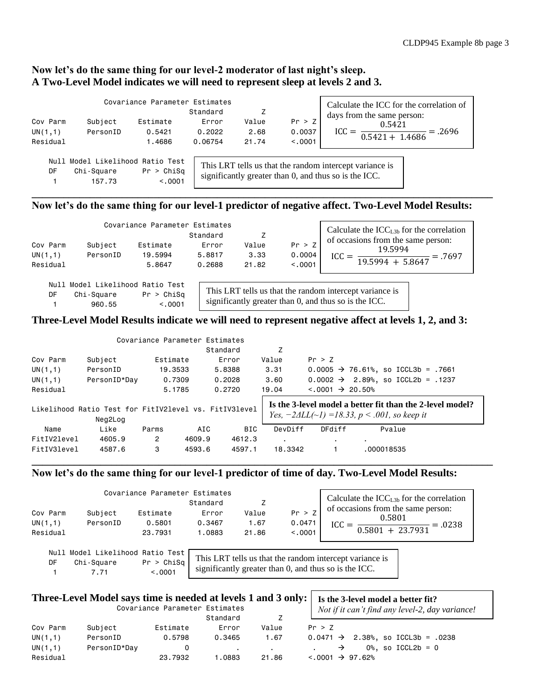## **Now let's do the same thing for our level-2 moderator of last night's sleep. A Two-Level Model indicates we will need to represent sleep at levels 2 and 3.**

|          |                                                          | Covariance Parameter Estimates | Standard |       |         | Calculate the ICC for the correlation of<br>days from the same person:                                           |
|----------|----------------------------------------------------------|--------------------------------|----------|-------|---------|------------------------------------------------------------------------------------------------------------------|
| Cov Parm | Subject                                                  | Estimate                       | Error    | Value | Pr > Z  | 0.5421                                                                                                           |
| UN(1,1)  | PersonID                                                 | 0.5421                         | 0.2022   | 2.68  | 0.0037  | $=.2696$<br>$0.5421 + 1.4686$                                                                                    |
| Residual |                                                          | 1.4686                         | 0.06754  | 21.74 | < 0.001 |                                                                                                                  |
| DF       | Null Model Likelihood Ratio Test<br>Chi-Square<br>157.73 | Pr > Chisq<br>< 0.001          |          |       |         | This LRT tells us that the random intercept variance is<br>significantly greater than 0, and thus so is the ICC. |

## **Now let's do the same thing for our level-1 predictor of negative affect. Two-Level Model Results:**

|          |          | Covariance Parameter Estimates | Calculate the $ICCL3b$ for the correlation |       |          |                                    |
|----------|----------|--------------------------------|--------------------------------------------|-------|----------|------------------------------------|
|          |          |                                | Standard                                   |       |          | of occasions from the same person: |
| Cov Parm | Subject  | Estimate                       | Error                                      | Value | Pr > Z   | 19.5994                            |
| UN(1,1)  | PersonID | 19.5994                        | 5.8817                                     | 3.33  | 0.0004   | $=.7697$                           |
| Residual |          | 5.8647                         | 0.2688                                     | 21.82 | < 0.0001 | $19.5994 + 5.8647$                 |

 Null Model Likelihood Ratio Test DF Chi-Square Pr > ChiSq 1 960.55 <.0001

1 7.71 <.0001

This LRT tells us that the random intercept variance is significantly greater than 0, and thus so is the ICC.

## **Three-Level Model Results indicate we will need to represent negative affect at levels 1, 2, and 3:**

|             |                                                                  | Covariance Parameter Estimates |        |            |                |                                  |                                                                                                                           |  |
|-------------|------------------------------------------------------------------|--------------------------------|--------|------------|----------------|----------------------------------|---------------------------------------------------------------------------------------------------------------------------|--|
|             |                                                                  |                                |        | Standard   | Z              |                                  |                                                                                                                           |  |
| Cov Parm    | Subject                                                          | Estimate                       |        | Error      | Value          | Pr > Z                           |                                                                                                                           |  |
| UN(1,1)     | PersonID                                                         | 19,3533                        |        | 5.8388     | 3.31           |                                  | 0.0005 $\rightarrow$ 76.61%, so ICCL3b = .7661                                                                            |  |
| UN(1,1)     | PersonID*Day                                                     | 0.7309                         |        | 0.2028     | 3,60           |                                  | 0.0002 $\rightarrow$ 2.89%, so ICCL2b = .1237                                                                             |  |
| Residual    |                                                                  | 5.1785                         |        | 0.2720     | 19.04          | $\leq 0.001 \rightarrow 20.50\%$ |                                                                                                                           |  |
|             | Likelihood Ratio Test for FitIV2level vs. FitIV3level<br>Neg2Log |                                |        |            |                |                                  | Is the 3-level model a better fit than the 2-level model?<br>Yes, $-2\Delta LL(\sim l) = 18.33$ , $p < .001$ , so keep it |  |
| Name        | Like                                                             | Parms                          | AIC    | <b>BIC</b> | DevDiff        | DFdiff                           | Pvalue                                                                                                                    |  |
| FitIV2level | 4605.9                                                           | $\overline{2}$                 | 4609.9 | 4612.3     | $\blacksquare$ |                                  |                                                                                                                           |  |
| FitIV3level | 4587.6                                                           | 3                              | 4593.6 | 4597.1     | 18.3342        |                                  | .000018535                                                                                                                |  |

**\_\_\_\_\_\_\_\_\_\_\_\_\_\_\_\_\_\_\_\_\_\_\_\_\_\_\_\_\_\_\_\_\_\_\_\_\_\_\_\_\_\_\_\_\_\_\_\_\_\_\_\_\_\_\_\_\_\_\_\_\_\_\_\_\_\_\_\_\_\_\_\_\_\_\_\_\_\_\_\_\_\_\_\_\_\_\_**

## **Now let's do the same thing for our level-1 predictor of time of day. Two-Level Model Results:**

| Cov Parm<br>UN(1,1)<br>Residual | Subject<br>PersonID                            | Covariance Parameter Estimates<br>Estimate<br>0.5801<br>23.7931 | Standard<br>Error<br>0.3467<br>1.0883 | Value<br>1.67<br>21.86 | Pr > Z<br>0.0471<br>< 0.0001 | Calculate the $\text{ICC}_{\text{L3b}}$ for the correlation<br>of occasions from the same person:<br>0.5801<br>$ICC =$<br>$=.0238$<br>$0.5801 + 23.7931$ |
|---------------------------------|------------------------------------------------|-----------------------------------------------------------------|---------------------------------------|------------------------|------------------------------|----------------------------------------------------------------------------------------------------------------------------------------------------------|
| DF                              | Null Model Likelihood Ratio Test<br>Chi-Square | Pr > Chis                                                       |                                       |                        |                              | This LRT tells us that the random intercept variance is                                                                                                  |

significantly greater than 0, and thus so is the ICC.

|          | Three-Level Model says time is needed at levels 1 and 3 only: | Covariance Parameter Estimates | Is the 3-level model a better fit?<br>Not if it can't find any level-2, day variance! |                |                                                |
|----------|---------------------------------------------------------------|--------------------------------|---------------------------------------------------------------------------------------|----------------|------------------------------------------------|
|          |                                                               |                                | Standard                                                                              |                |                                                |
| Cov Parm | Subject                                                       | Estimate                       | Error                                                                                 | Value          | Pr > Z                                         |
| UN(1,1)  | PersonID                                                      | 0.5798                         | 0.3465                                                                                | 1.67           | $0.0471 \rightarrow 2.38$ %, so ICCL3b = .0238 |
| UN(1,1)  | PersonID*Day                                                  |                                |                                                                                       | $\blacksquare$ | $0\%$ , so ICCL2b = 0                          |
| Residual |                                                               | 23.7932                        | .0883                                                                                 | 21.86          | $\leq 0.001 \rightarrow 97.62\%$               |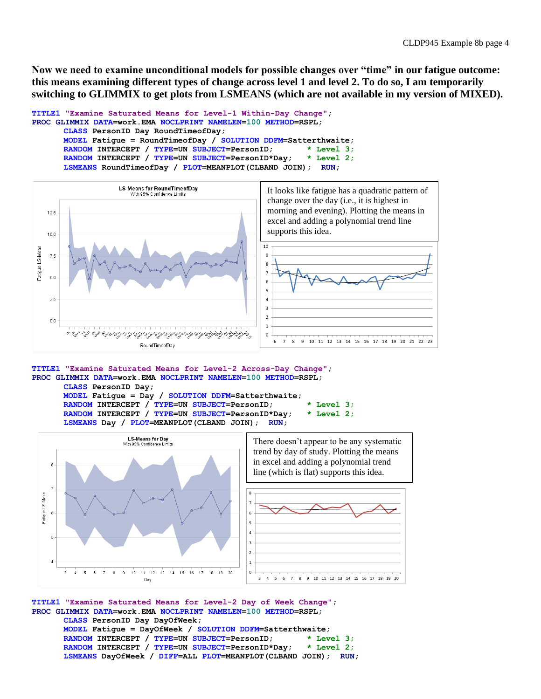**Now we need to examine unconditional models for possible changes over "time" in our fatigue outcome: this means examining different types of change across level 1 and level 2. To do so, I am temporarily switching to GLIMMIX to get plots from LSMEANS (which are not available in my version of MIXED).**

```
TITLE1 "Examine Saturated Means for Level-1 Within-Day Change";
PROC GLIMMIX DATA=work.EMA NOCLPRINT NAMELEN=100 METHOD=RSPL;
      CLASS PersonID Day RoundTimeofDay;
      MODEL Fatigue = RoundTimeofDay / SOLUTION DDFM=Satterthwaite;
      RANDOM INTERCEPT / TYPE=UN SUBJECT=PersonID; * Level 3;
      RANDOM INTERCEPT / TYPE=UN SUBJECT=PersonID*Day; * Level 2;
      LSMEANS RoundTimeofDay / PLOT=MEANPLOT(CLBAND JOIN); RUN;
```


**TITLE1 "Examine Saturated Means for Level-2 Across-Day Change"; PROC GLIMMIX DATA=work.EMA NOCLPRINT NAMELEN=100 METHOD=RSPL; CLASS PersonID Day;**

**MODEL Fatigue = Day / SOLUTION DDFM=Satterthwaite; RANDOM INTERCEPT / TYPE=UN SUBJECT=PersonID; \* Level 3; RANDOM INTERCEPT / TYPE=UN SUBJECT=PersonID\*Day; \* Level 2; LSMEANS Day / PLOT=MEANPLOT(CLBAND JOIN); RUN;**



**TITLE1 "Examine Saturated Means for Level-2 Day of Week Change"; PROC GLIMMIX DATA=work.EMA NOCLPRINT NAMELEN=100 METHOD=RSPL; CLASS PersonID Day DayOfWeek; MODEL Fatigue = DayOfWeek / SOLUTION DDFM=Satterthwaite; RANDOM INTERCEPT / TYPE=UN SUBJECT=PersonID; \* Level 3; RANDOM INTERCEPT / TYPE=UN SUBJECT=PersonID\*Day; \* Level 2; LSMEANS DayOfWeek / DIFF=ALL PLOT=MEANPLOT(CLBAND JOIN); RUN;**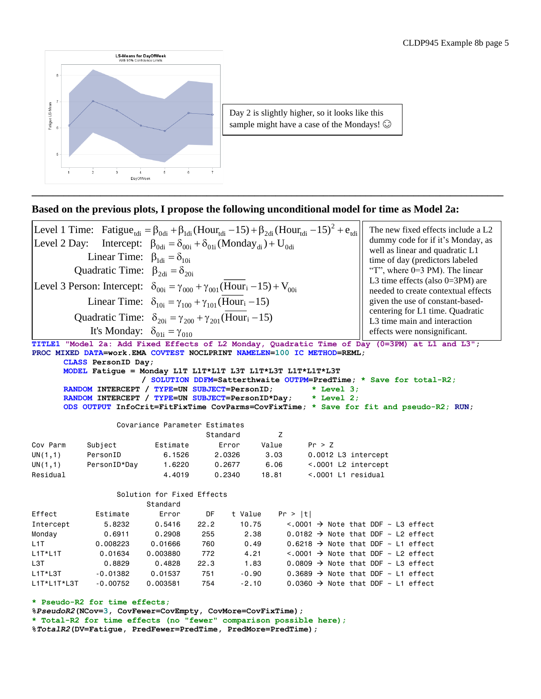

**\_\_\_\_\_\_\_\_\_\_\_\_\_\_\_\_\_\_\_\_\_\_\_\_\_\_\_\_\_\_\_\_\_\_\_\_\_\_\_\_\_\_\_\_\_\_\_\_\_\_\_\_\_\_\_\_\_\_\_\_\_\_\_\_\_\_\_\_\_\_\_\_\_\_\_\_\_\_\_\_\_\_\_\_\_\_\_\_\_**

|                    |                                                                                                                                                                  |                                                                                |             |                 |         |              | The new fixed effects include a L2                                                                         |
|--------------------|------------------------------------------------------------------------------------------------------------------------------------------------------------------|--------------------------------------------------------------------------------|-------------|-----------------|---------|--------------|------------------------------------------------------------------------------------------------------------|
| Level 2 Day:       | Level 1 Time: Fatigue <sub>tdi</sub> = $\beta_{0d}$ + $\beta_{1d}$ (Hour <sub>tdi</sub> - 15) + $\beta_{2d}$ (Hour <sub>tdi</sub> - 15) <sup>2</sup> + $e_{tdi}$ |                                                                                |             |                 |         |              | dummy code for if it's Monday, as                                                                          |
|                    |                                                                                                                                                                  | Intercept: $\beta_{0di} = \delta_{00i} + \delta_{01i} (Monday_{di}) + U_{0di}$ |             |                 |         |              | well as linear and quadratic L1                                                                            |
|                    | Linear Time: $\beta_{1di} = \delta_{10i}$                                                                                                                        |                                                                                |             |                 |         |              | time of day (predictors labeled                                                                            |
|                    | Quadratic Time: $\beta_{2di} = \delta_{20i}$                                                                                                                     |                                                                                |             |                 |         |              | "T", where $0=3$ PM). The linear                                                                           |
|                    | Level 3 Person: Intercept: $\delta_{00i} = \gamma_{000} + \gamma_{001}$ (Hour <sub>i</sub> -15) + V <sub>00i</sub>                                               |                                                                                |             |                 |         |              | L3 time effects (also $0=3PM$ ) are<br>needed to create contextual effects                                 |
|                    | Linear Time: $\delta_{10i} = \gamma_{100} + \gamma_{101}$ (Hour <sub>i</sub> -15)                                                                                |                                                                                |             |                 |         |              | given the use of constant-based-                                                                           |
|                    | Quadratic Time: $\delta_{20i} = \gamma_{200} + \gamma_{201}$ (Hour <sub>i</sub> -15)                                                                             |                                                                                |             |                 |         |              | centering for L1 time. Quadratic<br>L3 time main and interaction                                           |
|                    | It's Monday: $\delta_{01i} = \gamma_{010}$                                                                                                                       |                                                                                |             |                 |         |              | effects were nonsignificant.                                                                               |
|                    |                                                                                                                                                                  |                                                                                |             |                 |         |              | TITLE1 "Model 2a: Add Fixed Effects of L2 Monday, Quadratic Time of Day (0=3PM) at L1 and L3";             |
|                    | PROC MIXED DATA=work.EMA COVTEST NOCLPRINT NAMELEN=100 IC METHOD=REML;                                                                                           |                                                                                |             |                 |         |              |                                                                                                            |
|                    | CLASS PersonID Day;                                                                                                                                              |                                                                                |             |                 |         |              |                                                                                                            |
|                    | MODEL Fatique = Monday L1T L1T*L1T L3T L1T*L3T L1T*L1T*L3T                                                                                                       |                                                                                |             |                 |         |              | / SOLUTION DDFM=Satterthwaite OUTPM=PredTime; * Save for total-R2;                                         |
|                    | RANDOM INTERCEPT / TYPE=UN SUBJECT=PersonID;                                                                                                                     |                                                                                |             |                 |         | $*$ Level 3; |                                                                                                            |
|                    |                                                                                                                                                                  |                                                                                |             |                 |         |              |                                                                                                            |
|                    | RANDOM INTERCEPT / TYPE=UN SUBJECT=PersonID*Day; * Level 2;                                                                                                      |                                                                                |             |                 |         |              |                                                                                                            |
|                    |                                                                                                                                                                  |                                                                                |             |                 |         |              | ODS OUTPUT InfoCrit=FitFixTime CovParms=CovFixTime; * Save for fit and pseudo-R2; RUN;                     |
|                    |                                                                                                                                                                  | Covariance Parameter Estimates                                                 |             |                 |         |              |                                                                                                            |
|                    |                                                                                                                                                                  |                                                                                |             | Standard        | Ζ       |              |                                                                                                            |
| Cov Parm           | Subject                                                                                                                                                          | Estimate                                                                       |             | Error           | Value   | Pr > Z       |                                                                                                            |
|                    | PersonID                                                                                                                                                         | 6.1526                                                                         |             | 2.0326          | 3.03    |              | 0.0012 L3 intercept                                                                                        |
| UN(1,1)<br>UN(1,1) | PersonID*Day                                                                                                                                                     | 1.6220                                                                         |             | 0.2677          | 6.06    |              | <.0001 L2 intercept                                                                                        |
| Residual           |                                                                                                                                                                  | 4,4019                                                                         |             | 0.2340          | 18.81   |              | $< .0001$ L1 residual                                                                                      |
|                    |                                                                                                                                                                  | Solution for Fixed Effects                                                     |             |                 |         |              |                                                                                                            |
|                    |                                                                                                                                                                  | Standard                                                                       |             |                 |         |              |                                                                                                            |
| Effect             | Estimate                                                                                                                                                         | Error                                                                          | DF          | t Value         | Pr >  t |              |                                                                                                            |
| Intercept          | 5.8232                                                                                                                                                           | 0.5416                                                                         | 22.2        | 10.75           |         |              | $\langle .0001 \rangle$ Note that DDF $\sim$ L3 effect                                                     |
| Monday             | 0.6911                                                                                                                                                           | 0.2908                                                                         | 255         | 2.38            |         |              | 0.0182 $\rightarrow$ Note that DDF $\sim$ L2 effect                                                        |
| L1T                | 0.008223                                                                                                                                                         | 0.01666                                                                        | 760         | 0.49            |         |              | 0.6218 $\rightarrow$ Note that DDF $\sim$ L1 effect                                                        |
| $L1T*L1T$          | 0.01634                                                                                                                                                          | 0.003880                                                                       | 772         | 4.21            |         |              | $\leq$ .0001 $\rightarrow$ Note that DDF $\sim$ L2 effect                                                  |
| L3T<br>L1T*L3T     | 0.8829<br>$-0.01382$                                                                                                                                             | 0.4828<br>0.01537                                                              | 22.3<br>751 | 1.83<br>$-0.90$ |         |              | 0.0809 $\rightarrow$ Note that DDF $\sim$ L3 effect<br>0.3689 $\rightarrow$ Note that DDF $\sim$ L1 effect |

**%***PseudoR2***(NCov=3, CovFewer=CovEmpty, CovMore=CovFixTime); \* Total-R2 for time effects (no "fewer" comparison possible here); %***TotalR2***(DV=Fatigue, PredFewer=PredTime, PredMore=PredTime);**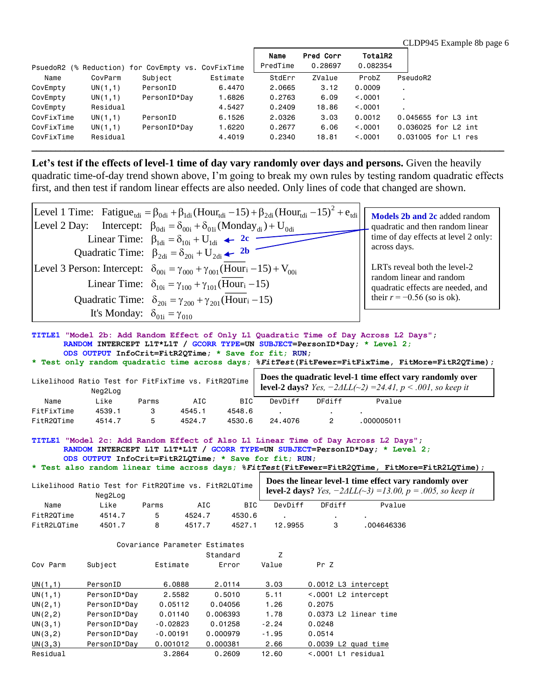|            |          | PsuedoR2 (% Reduction) for CovEmpty vs. CovFixTime |          | Name<br>PredTime | Pred Corr<br>0.28697 | TotalR2<br>0.082354 |                     |
|------------|----------|----------------------------------------------------|----------|------------------|----------------------|---------------------|---------------------|
| Name       | CovParm  | Subject                                            | Estimate | StdErr           | ZValue               | ProbZ               | PseudoR2            |
| CovEmpty   | UN(1,1)  | PersonID                                           | 6,4470   | 2,0665           | 3.12                 | 0.0009              |                     |
| CovEmpty   | UN(1,1)  | PersonID*Day                                       | 1,6826   | 0.2763           | 6.09                 | < 0.0001            |                     |
| CovEmpty   | Residual |                                                    | 4.5427   | 0.2409           | 18,86                | < 0.0001            |                     |
| CovFixTime | UN(1,1)  | PersonID                                           | 6.1526   | 2,0326           | 3.03                 | 0.0012              | 0.045655 for L3 int |
| CovFixTime | UN(1,1)  | PersonID*Day                                       | 1.6220   | 0.2677           | 6.06                 | < 0.0001            | 0.036025 for L2 int |
| CovFixTime | Residual |                                                    | 4,4019   | 0.2340           | 18,81                | < 0.0001            | 0.031005 for L1 res |

**Let's test if the effects of level-1 time of day vary randomly over days and persons.** Given the heavily quadratic time-of-day trend shown above, I'm going to break my own rules by testing random quadratic effects first, and then test if random linear effects are also needed. Only lines of code that changed are shown. quadratic time-of-day trend shown above, I'm going to break my own rules<br>
first, and then test if random linear effects are also needed. Only lines of co<br>
Level 1 Time: Fatigue<sub>tdi</sub> =  $\beta_{\text{odi}} + \beta_{\text{Id}}$  (Hour<sub>tdi</sub> -15) + d shown above, I'm going to break my own rules by testing<br>
m linear effects are also needed. Only lines of code that ch<br>  $= \beta_{0di} + \beta_{1di} (Hour_{tdi} - 15) + \beta_{2di} (Hour_{tdi} - 15)^2 + e_{tdi}$ 

|                                            | first, and then test if random linear effects are also needed. Only lines of code that changed are shown.                                                                                                                                                                                                                                                                                           |                                                                                                                           |
|--------------------------------------------|-----------------------------------------------------------------------------------------------------------------------------------------------------------------------------------------------------------------------------------------------------------------------------------------------------------------------------------------------------------------------------------------------------|---------------------------------------------------------------------------------------------------------------------------|
|                                            | Level 1 Time: Fatigue <sub>tdi</sub> = $\beta_{0d}$ + $\beta_{1d}$ (Hour <sub>tdi</sub> -15) + $\beta_{2d}$ (Hour <sub>tdi</sub> -15) <sup>2</sup> + $e_{tdi}$<br>Level 2 Day: Intercept: $\beta_{\text{0di}} = \delta_{\text{00i}} + \delta_{\text{01i}} (\text{Monday}_{\text{di}}) + U_{\text{0di}}$<br>Linear Time: $\beta_{\text{1di}} = \delta_{\text{10i}} + U_{\text{1di}}$ $\leftarrow$ 2c | Models 2b and 2c added random<br>quadratic and then random linear<br>time of day effects at level 2 only:<br>across days. |
|                                            | Quadratic Time: $\beta_{2di} = \delta_{20i} + U_{2di}$ $\leftarrow$ 2b<br>Level 3 Person: Intercept: $\delta_{00i} = \gamma_{000} + \gamma_{001}$ (Hour <sub>i</sub> -15) + V <sub>00i</sub><br>Linear Time: $\delta_{10i} = \gamma_{100} + \gamma_{101}$ (Hour <sub>i</sub> -15)                                                                                                                   | LRTs reveal both the level-2<br>random linear and random<br>quadratic effects are needed, and                             |
| It's Monday: $\delta_{01i} = \gamma_{010}$ | Quadratic Time: $\delta_{20i} = \gamma_{200} + \gamma_{201}$ (Hour <sub>i</sub> -15)                                                                                                                                                                                                                                                                                                                | their $r = -0.56$ (so is ok).                                                                                             |

#### **TITLE1 "Model 2b: Add Random Effect of Only L1 Quadratic Time of Day Across L2 Days"; RANDOM INTERCEPT L1T\*L1T / GCORR TYPE=UN SUBJECT=PersonID\*Day; \* Level 2; ODS OUTPUT InfoCrit=FitR2QTime; \* Save for fit; RUN;**

**\* Test only random quadratic time across days; %***FitTest***(FitFewer=FitFixTime, FitMore=FitR2QTime);**

|            | Likelihood Ratio Test for FitFixTime vs. FitR2QTime<br>Neg2Log |       |        |            | Does the quadratic level-1 time effect vary randomly over<br><b>level-2 days?</b> <i>Yes</i> , $-2\Delta LL(\sim 2) = 24.41$ , $p < .001$ , so keep it |        |            |  |
|------------|----------------------------------------------------------------|-------|--------|------------|--------------------------------------------------------------------------------------------------------------------------------------------------------|--------|------------|--|
| Name       | Like                                                           | Parms | AIC    | <b>BIC</b> | DevDiff                                                                                                                                                | DFdiff | Pvalue     |  |
| FitFixTime | 4539.1                                                         |       | 4545.1 | 4548.6     |                                                                                                                                                        |        |            |  |
| FitR2QTime | 4514.7                                                         | 5     | 4524.7 | 4530.6     | 24,4076                                                                                                                                                |        | .000005011 |  |

**TITLE1 "Model 2c: Add Random Effect of Also L1 Linear Time of Day Across L2 Days"; RANDOM INTERCEPT L1T L1T\*L1T / GCORR TYPE=UN SUBJECT=PersonID\*Day; \* Level 2; ODS OUTPUT InfoCrit=FitR2LQTime; \* Save for fit; RUN;**

**\* Test also random linear time across days; %***FitTest***(FitFewer=FitR2QTime, FitMore=FitR2LQTime);**

|             | Likelihood Ratio Test for FitR2QTime vs. FitR2LQTime<br>Neg2Log |       |        |        | Does the linear level-1 time effect vary randomly over<br><b>level-2 days?</b> Yes, $-2\Delta LL(\sim 3) = 13.00$ , $p = .005$ , so keep it |        |            |  |
|-------------|-----------------------------------------------------------------|-------|--------|--------|---------------------------------------------------------------------------------------------------------------------------------------------|--------|------------|--|
| Name        | Like                                                            | Parms | AIC    | BIC    | DevDiff                                                                                                                                     | DFdiff | Pvalue     |  |
| FitR2QTime  | 4514.7                                                          | 5     | 4524.7 | 4530.6 |                                                                                                                                             |        |            |  |
| FitR2LQTime | 4501.7                                                          | 8     | 4517.7 | 4527.1 | 12.9955                                                                                                                                     |        | .004646336 |  |

|          |              | Covariance Parameter Estimates |          |         |        |                        |
|----------|--------------|--------------------------------|----------|---------|--------|------------------------|
|          |              |                                | Standard | Ζ       |        |                        |
| Cov Parm | Subject      | Estimate                       | Error    | Value   | Pr Z   |                        |
| UN(1,1)  | PersonID     | 6.0888                         | 2.0114   | 3.03    |        | 0.0012 L3 intercept    |
| UN(1,1)  | PersonID*Day | 2,5582                         | 0.5010   | 5.11    |        | $< .0001$ L2 intercept |
| UN(2,1)  | PersonID*Day | 0.05112                        | 0.04056  | 1.26    | 0.2075 |                        |
| UN(2, 2) | PersonID*Day | 0.01140                        | 0.006393 | 1.78    |        | 0.0373 L2 linear time  |
| UN(3,1)  | PersonID*Day | $-0.02823$                     | 0.01258  | $-2.24$ | 0.0248 |                        |
| UN(3,2)  | PersonID*Day | $-0.00191$                     | 0.000979 | $-1.95$ | 0.0514 |                        |
| UN(3,3)  | PersonID*Day | 0.001012                       | 0.000381 | 2.66    |        | $0.0039$ L2 quad time  |
| Residual |              | 3.2864                         | 0.2609   | 12.60   |        | $< .0001$ L1 residual  |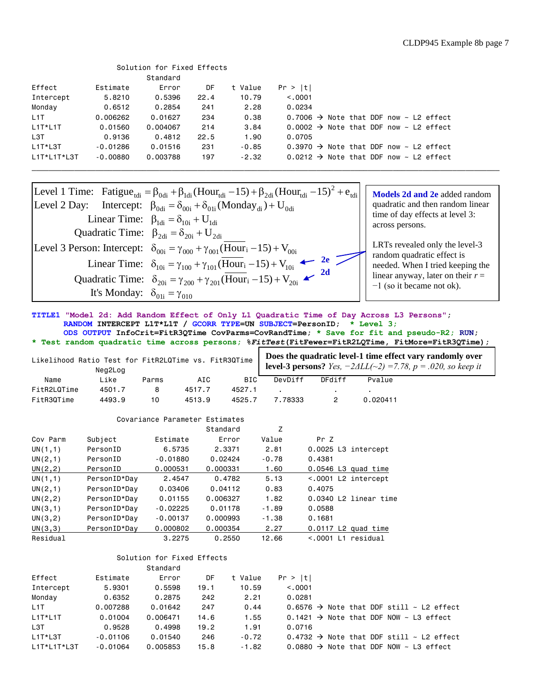|                                                                                                                                                                     |            | Solution for Fixed Effects |      |         |                                                         |  |  |                          |  |
|---------------------------------------------------------------------------------------------------------------------------------------------------------------------|------------|----------------------------|------|---------|---------------------------------------------------------|--|--|--------------------------|--|
|                                                                                                                                                                     |            | Standard                   |      |         |                                                         |  |  |                          |  |
| Effect                                                                                                                                                              | Estimate   | Error                      | DF   | t Value | Pr >  t                                                 |  |  |                          |  |
| Intercept                                                                                                                                                           | 5.8210     | 0.5396                     | 22.4 | 10.79   | < 0.0001                                                |  |  |                          |  |
| Monday                                                                                                                                                              | 0.6512     | 0.2854                     | 241  | 2.28    | 0.0234                                                  |  |  |                          |  |
| L <sub>1</sub> T                                                                                                                                                    | 0.006262   | 0.01627                    | 234  | 0.38    | 0.7006 $\rightarrow$ Note that DDF now $\sim$ L2 effect |  |  |                          |  |
| $L1T*L1T$                                                                                                                                                           | 0.01560    | 0.004067                   | 214  | 3.84    | 0.0002 $\rightarrow$ Note that DDF now $\sim$ L2 effect |  |  |                          |  |
| L <sub>3</sub> T                                                                                                                                                    | 0.9136     | 0.4812                     | 22.5 | 1.90    | 0.0705                                                  |  |  |                          |  |
| L1T*L3T                                                                                                                                                             | $-0.01286$ | 0.01516                    | 231  | $-0.85$ | $0.3970 \rightarrow$ Note that DDF now ~ L2 effect      |  |  |                          |  |
| L1T*L1T*L3T                                                                                                                                                         | $-0.00880$ | 0.003788                   | 197  | $-2.32$ | $0.0212 \rightarrow$ Note that DDF now ~ L2 effect      |  |  |                          |  |
|                                                                                                                                                                     |            |                            |      |         |                                                         |  |  |                          |  |
| Level 1 Time: Fatigue <sub>tdi</sub> = $\beta_{0di}$ + $\beta_{1di}$ (Hour <sub>tdi</sub> - 15) + $\beta_{2di}$ (Hour <sub>tdi</sub> - 15) <sup>2</sup> + $e_{tdi}$ |            |                            |      |         |                                                         |  |  | Models 2d and 2e added   |  |
| $I_{\text{total}}$ O $\Omega_{\text{Dou}}$ Intercept: 0 $\Omega_{\text{total}}$ (Mender) if                                                                         |            |                            |      |         |                                                         |  |  | quadratic and than rando |  |

| $L1T*L1T*L3T$                                                                                                                                                   | $-0.00880$                                                                                                     | 0.003788 | 197 | $-2.32$ | 0.0212 $\rightarrow$ Note that |  |
|-----------------------------------------------------------------------------------------------------------------------------------------------------------------|----------------------------------------------------------------------------------------------------------------|----------|-----|---------|--------------------------------|--|
|                                                                                                                                                                 |                                                                                                                |          |     |         |                                |  |
| Level 1 Time: Fatigue <sub>tdi</sub> = $\beta_{0d}$ + $\beta_{1d}$ (Hour <sub>tdi</sub> - 15) + $\beta_{2d}$ (Hour <sub>tdi</sub> - 15) <sup>2</sup> + $e_{td}$ |                                                                                                                |          |     |         |                                |  |
| Level 2 Day: Intercept: $\beta_{\text{0di}} = \delta_{\text{00i}} + \delta_{\text{01i}} (\text{Monday}_{\text{di}}) + U_{\text{0di}}$                           |                                                                                                                |          |     |         |                                |  |
|                                                                                                                                                                 | Linear Time: $\beta_{\text{1di}} = \delta_{\text{1di}} + U_{\text{1di}}$                                       |          |     |         |                                |  |
|                                                                                                                                                                 | Quadratic Time: $\beta_{2di} = \delta_{20i} + U_{2di}$                                                         |          |     |         |                                |  |
| Level 3 Person: Intercept: $\delta_{00i} = \gamma_{000} + \gamma_{001}$ (Hour <sub>i</sub> -15) + V <sub>00i</sub>                                              |                                                                                                                |          |     |         |                                |  |
|                                                                                                                                                                 | Linear Time: $\delta_{10i} = \gamma_{100} + \gamma_{101} (\overline{Hour}_i - 15) + V_{10i}$ $\leftarrow$ 2e 2 |          |     |         |                                |  |
|                                                                                                                                                                 | Quadratic Time: $\delta_{20i} = \gamma_{200} + \gamma_{201} (\overline{Hour}_i - 15) + V_{20i}$                |          |     |         |                                |  |
|                                                                                                                                                                 | It's Monday: $\delta_{01i} = \gamma_{010}$                                                                     |          |     |         |                                |  |

**Models 2d and 2e** added random quadratic and then random linear time of day effects at level 3: across persons.

LRTs revealed only the level-3 random quadratic effect is needed. When I tried keeping the linear anyway, later on their *r* = −1 (so it became not ok).

**TITLE1 "Model 2d: Add Random Effect of Only L1 Quadratic Time of Day Across L3 Persons"; RANDOM INTERCEPT L1T\*L1T / GCORR TYPE=UN SUBJECT=PersonID; \* Level 3; ODS OUTPUT InfoCrit=FitR3QTime CovParms=CovRandTime; \* Save for fit and pseudo-R2; RUN; \* Test random quadratic time across persons; %***FitTest***(FitFewer=FitR2LQTime, FitMore=FitR3QTime);**

|             | Likelihood Ratio Test for FitR2LQTime vs. FitR3QTime<br>Neg2Log |       |        |        |         |        |          | Does the quadratic level-1 time effect vary randomly over<br><b>level-3 persons?</b> <i>Yes</i> , $-2\Delta LL(\sim 2) = 7.78$ , $p = .020$ , so keep it |
|-------------|-----------------------------------------------------------------|-------|--------|--------|---------|--------|----------|----------------------------------------------------------------------------------------------------------------------------------------------------------|
| Name        | Like                                                            | Parms | AIC    | BIC    | DevDiff | DFdiff | Pvalue   |                                                                                                                                                          |
| FitR2LQTime | 4501.7                                                          |       | 4517.7 | 4527.1 |         |        |          |                                                                                                                                                          |
| FitR3QTime  | 4493.9                                                          | 10    | 4513.9 | 4525.7 | 7.78333 |        | 0.020411 |                                                                                                                                                          |

|          |              | Covariance Parameter Estimates |          |         |                       |
|----------|--------------|--------------------------------|----------|---------|-----------------------|
|          |              |                                | Standard | Z       |                       |
| Cov Parm | Subject      | Estimate                       | Error    | Value   | Pr Z                  |
| UN(1,1)  | PersonID     | 6.5735                         | 2.3371   | 2.81    | 0.0025 L3 intercept   |
| UN(2,1)  | PersonID     | $-0.01880$                     | 0.02424  | $-0.78$ | 0.4381                |
| UN(2, 2) | PersonID     | 0.000531                       | 0.000331 | 1.60    | $0.0546$ L3 quad time |
| UN(1,1)  | PersonID*Day | 2.4547                         | 0.4782   | 5.13    | <.0001 L2 intercept   |
| UN(2,1)  | PersonID*Day | 0.03406                        | 0.04112  | 0.83    | 0.4075                |
| UN(2,2)  | PersonID*Day | 0.01155                        | 0.006327 | 1.82    | 0.0340 L2 linear time |
| UN(3,1)  | PersonID*Day | $-0.02225$                     | 0.01178  | $-1.89$ | 0.0588                |
| UN(3,2)  | PersonID*Day | $-0.00137$                     | 0.000993 | $-1.38$ | 0.1681                |
| UN(3,3)  | PersonID*Dav | 0.000802                       | 0.000354 | 2.27    | $0.0117$ L2 quad time |
| Residual |              | 3.2275                         | 0.2550   | 12.66   | $< .0001$ L1 residual |

#### Solution for Fixed Effects Standard

|                  |            | vlanuaru |      |         |         |  |  |                                                      |
|------------------|------------|----------|------|---------|---------|--|--|------------------------------------------------------|
| Effect           | Estimate   | Error    | DF   | t Value | Pr >  t |  |  |                                                      |
| Intercept        | 5.9301     | 0.5598   | 19.1 | 10.59   | < 0.001 |  |  |                                                      |
| Monday           | 0.6352     | 0.2875   | 242  | 2.21    | 0.0281  |  |  |                                                      |
| L <sub>1</sub> T | 0.007288   | 0.01642  | 247  | 0.44    |         |  |  | $0.6576 \rightarrow$ Note that DDF still ~ L2 effect |
| $L1T*L1T$        | 0.01004    | 0.006471 | 14.6 | 1.55    |         |  |  | 0.1421 → Note that DDF NOW ~ L3 effect               |
| L <sub>3</sub> T | 0.9528     | 0.4998   | 19.2 | 1.91    | 0.0716  |  |  |                                                      |
| $L1T*L3T$        | $-0.01106$ | 0.01540  | 246  | $-0.72$ |         |  |  | $0.4732 \rightarrow$ Note that DDF still ~ L2 effect |
| L1T*L1T*L3T      | $-0.01064$ | 0.005853 | 15.8 | $-1.82$ |         |  |  | 0.0880 $\rightarrow$ Note that DDF NOW ~ L3 effect   |
|                  |            |          |      |         |         |  |  |                                                      |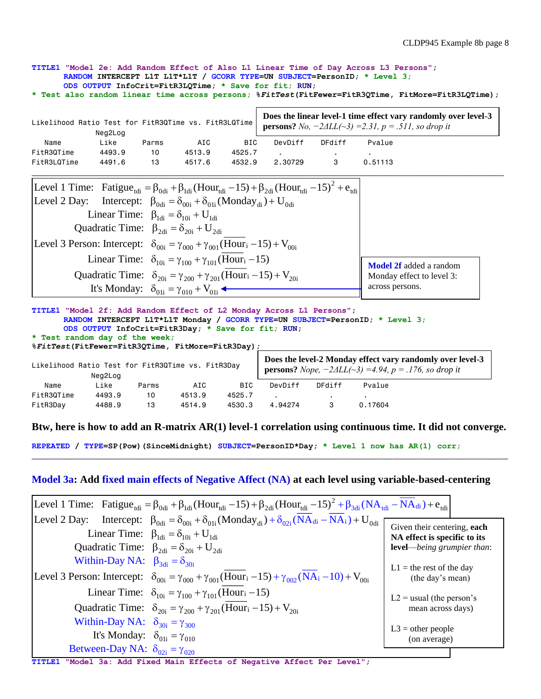**TITLE1 "Model 2e: Add Random Effect of Also L1 Linear Time of Day Across L3 Persons"; RANDOM INTERCEPT L1T L1T\*L1T / GCORR TYPE=UN SUBJECT=PersonID; \* Level 3; ODS OUTPUT InfoCrit=FitR3LQTime; \* Save for fit; RUN; \* Test also random linear time across persons; %***FitTest***(FitFewer=FitR3QTime, FitMore=FitR3LQTime);** Likelihood Ratio Test for FitR3QTime vs. FitR3LQTime Neg2Log Name Like Parms AIC BIC DevDiff DFdiff Pvalue FitR3QTime 4493.9 10 4513.9 4525.7 . FitR3LQTime 4491.6 13 4517.6 4532.9 2.30729 3 0.51113 2 tdi  $= \beta_{0} + \beta_{1}$  (Hour<sub>tdi</sub> -15) +  $\beta_{2}$  (Hour<sub>tdi</sub> -15)<sup>2</sup> +  $e_{\text{tdi}}$  $\beta_{0di} + \beta_{1di} (Hour_{tdi} - 15) + \beta_{2di} (Hou_{0di} = \delta_{00i} + \delta_{01i} (Monday_{di}) + U_{0di}$  $p_{0di} + p_{1di}$  (HOUT<sub>tdi</sub> - 13)<br>  $\beta_{0di} = \delta_{00i} + \delta_{01i}$  (Monda<br>  $\beta_{1di} = \delta_{10i} + U_{1di}$ <br>  $\beta_{2di} = \delta_{20i} + U_{2di}$ FitR3QTime 4493.9 10 4513.9 4525.7 .<br>
FitR3LQTime 4491.6 13 4517.6 4532.9 2.30729 3<br>
Level 1 Time: Fatigue<sub>tdi</sub> =  $\beta_{0d}$ i +  $\beta_{1d}$ i (Hour<sub>tdi</sub> - 15) +  $\beta_{2d}$ i (Hour<sub>tdi</sub> - 15)<sup>2</sup> + e Level 1 Time: Fatigue<sub>tdi</sub> =  $\beta_{0d}$  +  $\beta_{1d}$  (Hour<sub>tdi</sub> - 15) +  $\beta_{2d}$  (H<br>Level 2 Day: Intercept:  $\beta_{0d} = \delta_{00i} + \delta_{01i}$  (Monday<sub>di</sub>) + U Linear Time:  $\beta_{\text{1di}} = \delta_{\text{10i}} + U_{\text{1di}}$  Quadra 10 4513.9 4525.7<br>
13 4517.6 4532.9 2.30729 3 0.51113<br>  $= \beta_{\text{0di}} + \beta_{\text{1di}} (\text{Hour}_{\text{tdi}} - 15) + \beta_{\text{2di}} (\text{Hour}_{\text{tdi}} - 15)^2 + e_{\text{tdi}}$ 13 4517.6 4532.9 2.30729<br>  $\cdot \beta_{\text{0di}} + \beta_{\text{1di}} (\text{Hour}_{\text{tdi}} - 15) + \beta_{\text{2di}} (\text{Hour}_{\text{tdi}} - 15)$ <br>  $\beta_{\text{0di}} = \delta_{\text{00i}} + \delta_{\text{01i}} (\text{Monday}_{\text{di}}) + U_{\text{0di}}$  $\beta_{0di} + \beta_{1di} (Hour_{tdi} - 15)$ <br>  $\beta_{0di} = \delta_{00i} + \delta_{01i} (Mondi)$ <br>  $\beta_{1di} = \delta_{10i} + U_{1di}$  $\frac{d}{dt} = \delta_{10i} + U_{1di}$ <br>  $2di = \delta_{20i} + U_{2di}$  $\mathbf{B}_{2\text{di}} = \delta_{20i} + \mathbf{U}_{2\text{di}}$ <br>  $\delta_{00i} = \gamma_{000} + \gamma_{001} \left( \overline{\text{Hour}}_i - 15 \right) + \mathbf{V}_{00i}$ tic Time:  $\beta_{2di} = \delta_{20i} + U$ Linear Time:  $\beta_{1di} = \delta_{10i} + U_{1di}$ <br>
Quadratic Time:  $\beta_{2di} = \delta_{20i} + U_{2di}$ <br>
Level 3 Person: Intercept:  $\delta_{00i} = \gamma_{000} + \gamma_{001} \frac{(Hour_i - 15) + V_i}{(Hour_i - 15)}$  $\beta_{\text{0di}} = \delta_{\text{00i}} + \delta_{\text{01i}}$  (*Nollardy di )* +  $\delta_{\text{0di}}$ <br>  $\beta_{\text{1di}} = \delta_{\text{10i}} + U_{\text{1di}}$ <br>  $\beta_{\text{2di}} = \delta_{\text{20i}} + U_{\text{2di}}$ <br>  $\delta_{\text{00i}} = \gamma_{\text{000}} + \gamma_{\text{001}} \frac{(Hour_i - 15) + V_{\text{00i}}}{(Hour_i - 15)}$  $\beta_{2di} = \delta_{20i} + U_{2di}$ <br>  $\delta_{00i} = \gamma_{000} + \gamma_{001} (\overline{Hour}_{i} - 15) + V_{00i}$ <br>  $\delta_{10i} = \gamma_{100} + \gamma_{101} (\overline{Hour}_{i} - 15)$ **Does the linear level-1 time effect vary randomly over level-3 persons?** *No, −2ΔLL(~3) =2.31, p = .511, so drop it*

 $v_{00i} = \gamma_{000} + \gamma_{001} (\overline{\text{Hour}}_{10i}$ <br>  $v_{10i} = \gamma_{100} + \gamma_{101} (\overline{\text{Hour}}_{10i}$  $\delta_{00i} = \gamma_{000} + \gamma_{001}(\overline{\text{Hour}}_i - 15) + \text{V}_{00i}$ <br>  $\delta_{10i} = \gamma_{100} + \gamma_{101}(\overline{\text{Hour}}_i - 15)$ <br>  $\delta_{20i} = \gamma_{200} + \gamma_{201}(\overline{\text{Hour}}_i - 15) + \text{V}_{20i}$ Linear Time:  $\delta_{10i} = \gamma_{100} + \gamma_{101} (\overline{Hour}_i - 15)$ Level 3 Person: Intercept:  $\delta_{00i} = \gamma_{000} + \gamma_{001} (\overline{Hour}_i - 15)$ <br>Linear Time:  $\delta_{10i} = \gamma_{100} + \gamma_{101} (\overline{Hour}_i - 15)$ <br>Quadratic Time:  $\delta_{20i} = \gamma_{200} + \gamma_{201} (\overline{Hour}_i - 15)$ <br>It's Mondow:  $\delta_{20i} = \gamma_{200} + \gamma_{201} (\overline{Hour}_i - 1$  $\dot{\theta}_{20i} = \gamma_{200} + \gamma_{20i}$ <br>  $01i = \gamma_{010} + V_{01i}$  $+V$ It's Monday:  $\delta_{01i} = \gamma_{010} + V_0$  $\delta_{10i} = \gamma_{100} + \gamma_{101} (\text{Hour}_i - \delta_{20i}) = \gamma_{200} + \gamma_{201} (\text{Hour}_i - \delta_{01i}) = \gamma_{010} + V_{01i}$ **Model 2f** added a random Monday effect to level 3: across persons.

#### **TITLE1 "Model 2f: Add Random Effect of L2 Monday Across L1 Persons"; RANDOM INTERCEPT L1T\*L1T Monday / GCORR TYPE=UN SUBJECT=PersonID; \* Level 3; ODS OUTPUT InfoCrit=FitR3Day; \* Save for fit; RUN; \* Test random day of the week;**

|                                                              | %FitTest(FitFewer=FitR3OTime, FitMore=FitR3Day); |       |        |            |                                                                                                                                           |        |         |  |  |  |  |  |
|--------------------------------------------------------------|--------------------------------------------------|-------|--------|------------|-------------------------------------------------------------------------------------------------------------------------------------------|--------|---------|--|--|--|--|--|
| Likelihood Ratio Test for FitR3QTime vs. FitR3Day<br>Neg2Log |                                                  |       |        |            | Does the level-2 Monday effect vary randomly over level-3<br><b>persons?</b> Nope, $-2\Delta LL(\sim 3) = 4.94$ , $p = .176$ , so drop it |        |         |  |  |  |  |  |
| Name                                                         | Like                                             | Parms | AIC    | <b>BIC</b> | DevDiff                                                                                                                                   | DFdiff | Pvalue  |  |  |  |  |  |
| FitR3QTime                                                   | 4493.9                                           | 10    | 4513.9 | 4525.7     |                                                                                                                                           |        |         |  |  |  |  |  |
| FitR3Day                                                     | 4488.9                                           | 13    | 4514.9 | 4530.3     | 4.94274                                                                                                                                   | 3      | 0.17604 |  |  |  |  |  |

## **Btw, here is how to add an R-matrix AR(1) level-1 correlation using continuous time. It did not converge.**

**REPEATED / TYPE=SP(Pow)(SinceMidnight) SUBJECT=PersonID\*Day; \* Level 1 now has AR(1) corr;**

## **Model 3a: Add fixed main effects of Negative Affect (NA) at each level using variable-based-centering**

|                                               | [Level 1 Time: Fatigue <sub>tdi</sub> = $\beta_{0d}$ + $\beta_{1d}$ (Hour <sub>tdi</sub> -15) + $\beta_{2d}$ (Hour <sub>tdi</sub> -15) <sup>2</sup> + $\beta_{3d}$ (NA <sub>tdi</sub> - NA <sub>di</sub> ) + $e_{tdi}$ |                                                             |
|-----------------------------------------------|------------------------------------------------------------------------------------------------------------------------------------------------------------------------------------------------------------------------|-------------------------------------------------------------|
|                                               | Level 2 Day: Intercept: $\beta_{\text{0di}} = \delta_{\text{00i}} + \delta_{\text{01i}} (M \text{on day}_{\text{di}}) + \delta_{\text{02i}} (NA_{\text{di}} - NA_i) + U_{\text{0di}}$                                  |                                                             |
|                                               | Linear Time: $\beta_{\text{1di}} = \delta_{\text{10i}} + U_{\text{1di}}$                                                                                                                                               | Given their centering, each<br>NA effect is specific to its |
|                                               | Quadratic Time: $\beta_{2di} = \delta_{20i} + U_{2di}$                                                                                                                                                                 | level-being grumpier than:                                  |
| Within-Day NA: $\beta_{3di} = \delta_{30i}$   |                                                                                                                                                                                                                        | $L1$ = the rest of the day                                  |
|                                               | [Level 3 Person: Intercept: $\delta_{00i} = \gamma_{000} + \gamma_{001}$ (Hour <sub>i</sub> -15) + $\gamma_{002}$ (NA <sub>i</sub> -10) + V <sub>00i</sub>                                                             | (the day's mean)                                            |
|                                               | Linear Time: $\delta_{10i} = \gamma_{100} + \gamma_{101}$ (Hour <sub>i</sub> -15)                                                                                                                                      | $L2 =$ usual (the person's                                  |
|                                               | Quadratic Time: $\delta_{20i} = \gamma_{200} + \gamma_{201}(\text{Hour}_i - 15) + V_{20i}$                                                                                                                             | mean across days)                                           |
| Within-Day NA: $\delta_{30i} = \gamma_{300}$  |                                                                                                                                                                                                                        | $L3 =$ other people                                         |
| It's Monday: $\delta_{01i} = \gamma_{010}$    |                                                                                                                                                                                                                        | (on average)                                                |
| Between-Day NA: $\delta_{02i} = \gamma_{020}$ |                                                                                                                                                                                                                        |                                                             |

**TITLE1 "Model 3a: Add Fixed Main Effects of Negative Affect Per Level";**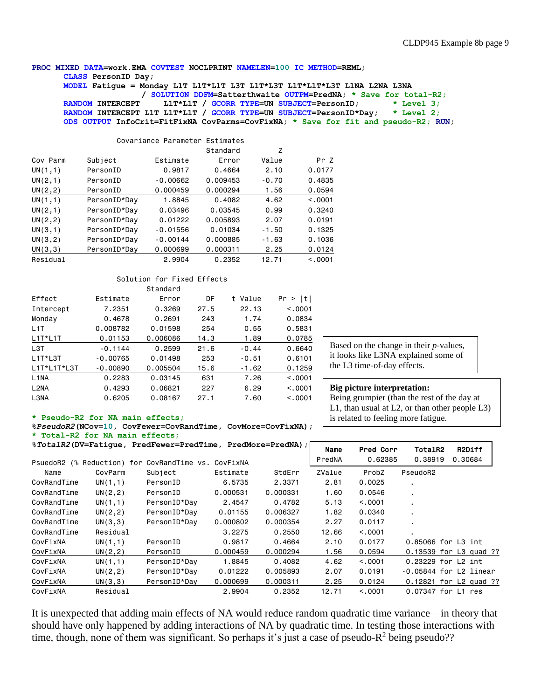#### **PROC MIXED DATA=work.EMA COVTEST NOCLPRINT NAMELEN=100 IC METHOD=REML; CLASS PersonID Day;**

**MODEL Fatigue = Monday L1T L1T\*L1T L3T L1T\*L3T L1T\*L1T\*L3T L1NA L2NA L3NA / SOLUTION DDFM=Satterthwaite OUTPM=PredNA; \* Save for total-R2; RANDOM INTERCEPT L1T\*L1T / GCORR TYPE=UN SUBJECT=PersonID; \* Level 3; RANDOM INTERCEPT L1T L1T\*L1T / GCORR TYPE=UN SUBJECT=PersonID\*Day; \* Level 2; ODS OUTPUT InfoCrit=FitFixNA CovParms=CovFixNA; \* Save for fit and pseudo-R2; RUN;**

|          |              | Covariance Parameter Estimates |          |         |          |
|----------|--------------|--------------------------------|----------|---------|----------|
|          |              |                                | Standard | Ζ       |          |
| Cov Parm | Subject      | Estimate                       | Error    | Value   | Pr 7     |
| UN(1,1)  | PersonID     | 0.9817                         | 0.4664   | 2.10    | 0.0177   |
| UN(2,1)  | PersonID     | $-0.00662$                     | 0.009453 | $-0.70$ | 0.4835   |
| UN(2, 2) | PersonID     | 0.000459                       | 0.000294 | 1.56    | 0.0594   |
| UN(1,1)  | PersonID*Day | 1.8845                         | 0.4082   | 4.62    | < 0.0001 |
| UN(2,1)  | PersonID*Day | 0.03496                        | 0.03545  | 0.99    | 0.3240   |
| UN(2,2)  | PersonID*Day | 0.01222                        | 0.005893 | 2.07    | 0.0191   |
| UN(3,1)  | PersonID*Dav | $-0.01556$                     | 0.01034  | $-1.50$ | 0.1325   |
| UN(3, 2) | PersonID*Day | $-0.00144$                     | 0.000885 | $-1.63$ | 0.1036   |
| UN(3,3)  | PersonID*Dav | 0.000699                       | 0.000311 | 2.25    | 0.0124   |
| Residual |              | 2.9904                         | 0.2352   | 12.71   | < 0.001  |

#### Solution for Fixed Effects Standard

|                   |            | o tanuar u |      |         |         |
|-------------------|------------|------------|------|---------|---------|
| Effect            | Estimate   | Error      | DF   | t Value | Pr >  t |
| Intercept         | 7.2351     | 0.3269     | 27.5 | 22.13   | < 0.001 |
| Monday            | 0.4678     | 0.2691     | 243  | 1.74    | 0.0834  |
| L <sub>1</sub> T  | 0.008782   | 0.01598    | 254  | 0.55    | 0.5831  |
| $L1T*L1T$         | 0.01153    | 0.006086   | 14.3 | 1.89    | 0.0785  |
| L3T               | $-0.1144$  | 0.2599     | 21.6 | $-0.44$ | 0.6640  |
| $L1T*L3T$         | $-0.00765$ | 0.01498    | 253  | $-0.51$ | 0.6101  |
| L1T*L1T*L3T       | $-0.00890$ | 0.005504   | 15.6 | $-1.62$ | 0.1259  |
| L <sub>1</sub> NA | 0.2283     | 0.03145    | 631  | 7.26    | < 0.001 |
| L <sub>2NA</sub>  | 0.4293     | 0.06821    | 227  | 6.29    | < 0.001 |
| L3NA              | 0.6205     | 0.08167    | 27.1 | 7.60    | < 0.001 |
|                   |            |            |      |         |         |

Based on the change in their *p*-values, it looks like L3NA explained some of the L3 time-of-day effects.

#### **Big picture interpretation:**

Being grumpier (than the rest of the day at L1, than usual at L2, or than other people L3) is related to feeling more fatigue.

#### **\* Pseudo-R2 for NA main effects;**

**%***PseudoR2***(NCov=10, CovFewer=CovRandTime, CovMore=CovFixNA); \* Total-R2 for NA main effects;**

**%***TotalR2***(DV=Fatigue, PredFewer=PredTime, PredMore=PredNA);**

|             |                   |                          | % <i>TotalR2</i> (DV=Fatique, PredFewer=PredTime, PredMore=PredNA); |          |        | Pred Corr | TotalR2              | R2Diff                 |
|-------------|-------------------|--------------------------|---------------------------------------------------------------------|----------|--------|-----------|----------------------|------------------------|
| PsuedoR2    | (% Reduction) for | CovRandTime vs. CovFixNA |                                                                     |          | PredNA | 0.62385   | 0.38919              | 0.30684                |
| Name        | CovParm           | Subject                  | Estimate                                                            | StdErr   | ZValue | ProbZ     | PseudoR2             |                        |
| CovRandTime | UN(1,1)           | PersonID                 | 6.5735                                                              | 2.3371   | 2.81   | 0.0025    |                      |                        |
| CovRandTime | UN(2, 2)          | PersonID                 | 0.000531                                                            | 0.000331 | 1.60   | 0.0546    | $\blacksquare$       |                        |
| CovRandTime | UN(1,1)           | PersonID*Dav             | 2.4547                                                              | 0.4782   | 5.13   | < 0.001   |                      |                        |
| CovRandTime | UN(2, 2)          | PersonID*Day             | 0.01155                                                             | 0.006327 | 1.82   | 0.0340    |                      |                        |
| CovRandTime | UN(3,3)           | PersonID*Day             | 0.000802                                                            | 0.000354 | 2.27   | 0.0117    |                      |                        |
| CovRandTime | Residual          |                          | 3.2275                                                              | 0.2550   | 12.66  | < 0.001   |                      |                        |
| CovFixNA    | UN(1,1)           | PersonID                 | 0.9817                                                              | 0.4664   | 2.10   | 0.0177    | 0.85066 for L3 int   |                        |
| CovFixNA    | UN(2, 2)          | PersonID                 | 0.000459                                                            | 0.000294 | 1.56   | 0.0594    |                      | 0.13539 for L3 quad ?? |
| CovFixNA    | UN(1,1)           | PersonID*Day             | 1.8845                                                              | 0.4082   | 4.62   | < 0.001   | $0.23229$ for L2 int |                        |
| CovFixNA    | UN(2, 2)          | PersonID*Day             | 0.01222                                                             | 0.005893 | 2.07   | 0.0191    |                      | -0.05844 for L2 linear |
| CovFixNA    | UN(3,3)           | PersonID*Dav             | 0.000699                                                            | 0.000311 | 2.25   | 0.0124    |                      | 0.12821 for L2 quad ?? |
| CovFixNA    | Residual          |                          | 2.9904                                                              | 0.2352   | 12.71  | < 0.001   | 0.07347 for L1 res   |                        |

It is unexpected that adding main effects of NA would reduce random quadratic time variance—in theory that should have only happened by adding interactions of NA by quadratic time. In testing those interactions with time, though, none of them was significant. So perhaps it's just a case of pseudo- $R^2$  being pseudo??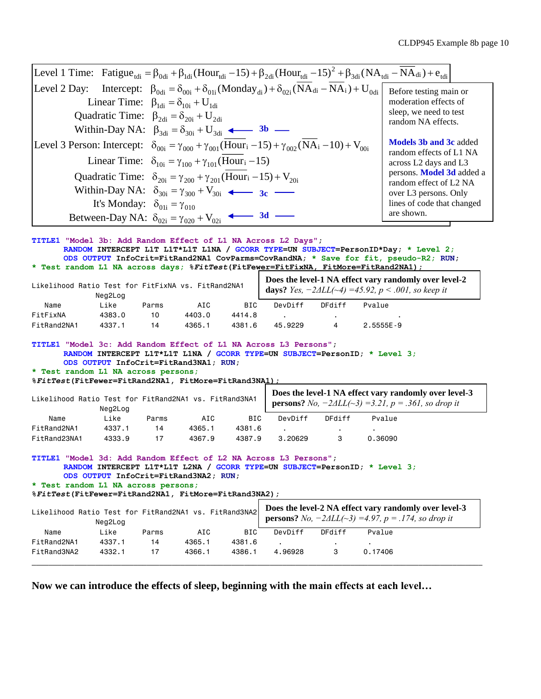|                                                                                                                            |                                            |       |                                                                                                         |        |                                                                                                                |               | Level 1 Time: Fatigue <sub>tdi</sub> = $\beta_{0d}$ + $\beta_{1d}$ (Hour <sub>tdi</sub> -15) + $\beta_{2d}$ (Hour <sub>tdi</sub> -15) <sup>2</sup> + $\beta_{3d}$ (NA <sub>tdi</sub> - NA <sub>di</sub> ) + $e_{tdi}$ |  |
|----------------------------------------------------------------------------------------------------------------------------|--------------------------------------------|-------|---------------------------------------------------------------------------------------------------------|--------|----------------------------------------------------------------------------------------------------------------|---------------|-----------------------------------------------------------------------------------------------------------------------------------------------------------------------------------------------------------------------|--|
| Level 2 Day:                                                                                                               |                                            |       |                                                                                                         |        | Intercept: $\beta_{0di} = \delta_{00i} + \delta_{01i} (Monday_{di}) + \delta_{02i} (NA_{di} - NA_i) + U_{0di}$ |               | Before testing main or                                                                                                                                                                                                |  |
|                                                                                                                            |                                            |       | Linear Time: $\beta_{1di} = \delta_{10i} + U_{1di}$                                                     |        |                                                                                                                |               | moderation effects of                                                                                                                                                                                                 |  |
|                                                                                                                            |                                            |       | Quadratic Time: $\beta_{2di} = \delta_{20i} + U_{2di}$                                                  |        |                                                                                                                |               | sleep, we need to test                                                                                                                                                                                                |  |
|                                                                                                                            |                                            |       |                                                                                                         |        |                                                                                                                |               | random NA effects.                                                                                                                                                                                                    |  |
|                                                                                                                            |                                            |       | Within-Day NA: $\beta_{3di} = \delta_{30i} + U_{3di}$ 4 - 3b -                                          |        |                                                                                                                |               |                                                                                                                                                                                                                       |  |
| Level 3 Person: Intercept: $\delta_{00i} = \gamma_{000} + \gamma_{001} (Hour_i - 15) + \gamma_{002} (NA_i - 10) + V_{00i}$ |                                            |       |                                                                                                         |        |                                                                                                                |               | <b>Models 3b and 3c added</b><br>random effects of L1 NA                                                                                                                                                              |  |
|                                                                                                                            |                                            |       | Linear Time: $\delta_{10i} = \gamma_{100} + \gamma_{101}$ (Hour <sub>i</sub> -15)                       |        |                                                                                                                |               | across L2 days and L3                                                                                                                                                                                                 |  |
|                                                                                                                            |                                            |       | Quadratic Time: $\delta_{20i} = \gamma_{200} + \gamma_{201}$ (Hour <sub>i</sub> -15) + V <sub>20i</sub> |        |                                                                                                                |               | persons. Model 3d added a                                                                                                                                                                                             |  |
|                                                                                                                            |                                            |       | Within-Day NA: $\delta_{30i} = \gamma_{300} + V_{30i}$ $\longrightarrow$ 3c —                           |        |                                                                                                                |               | random effect of L2 NA                                                                                                                                                                                                |  |
|                                                                                                                            |                                            |       |                                                                                                         |        |                                                                                                                |               | over L3 persons. Only                                                                                                                                                                                                 |  |
|                                                                                                                            | It's Monday: $\delta_{01i} = \gamma_{010}$ |       |                                                                                                         |        |                                                                                                                |               | lines of code that changed<br>are shown.                                                                                                                                                                              |  |
|                                                                                                                            |                                            |       | Between-Day NA: $\delta_{02i} = \gamma_{020} + V_{02i}$ 4 3d -                                          |        |                                                                                                                |               |                                                                                                                                                                                                                       |  |
| TITLE1 "Model 3b: Add Random Effect of L1 NA Across L2 Days";                                                              |                                            |       |                                                                                                         |        |                                                                                                                |               | RANDOM INTERCEPT L1T L1T*L1T L1NA / GCORR TYPE=UN SUBJECT=PersonID*Day; * Level 2;<br>ODS OUTPUT InfoCrit=FitRand2NA1 CovParms=CovRandNA; * Save for fit, pseudo-R2; RUN;                                             |  |
|                                                                                                                            |                                            |       |                                                                                                         |        |                                                                                                                |               | * Test random L1 NA across days; %FitTest(FitFewer=FitFixNA, FitMore=FitRand2NA1);                                                                                                                                    |  |
|                                                                                                                            |                                            |       |                                                                                                         |        |                                                                                                                |               | Does the level-1 NA effect vary randomly over level-2                                                                                                                                                                 |  |
| Likelihood Ratio Test for FitFixNA vs. FitRand2NA1                                                                         | Neg2Log                                    |       |                                                                                                         |        |                                                                                                                |               | <b>days?</b> Yes, $-2\Delta LL(\sim 4) = 45.92$ , $p < .001$ , so keep it                                                                                                                                             |  |
| Name                                                                                                                       | Like                                       | Parms | AIC                                                                                                     | BIC    | DevDiff                                                                                                        | DFdiff        | Pvalue                                                                                                                                                                                                                |  |
| FitFixNA                                                                                                                   | 4383.0                                     | 10    | 4403.0                                                                                                  | 4414.8 |                                                                                                                |               |                                                                                                                                                                                                                       |  |
| FitRand2NA1                                                                                                                | 4337.1                                     | 14    | 4365.1                                                                                                  | 4381.6 | 45,9229                                                                                                        | 4             | 2.5555E-9                                                                                                                                                                                                             |  |
| TITLE1 "Model 3c: Add Random Effect of L1 NA Across L3 Persons";                                                           |                                            |       | ODS OUTPUT InfoCrit=FitRand3NA1; RUN;                                                                   |        |                                                                                                                |               | RANDOM INTERCEPT L1T*L1T L1NA / GCORR TYPE=UN SUBJECT=PersonID; * Level 3;                                                                                                                                            |  |
| * Test random L1 NA across persons;                                                                                        |                                            |       |                                                                                                         |        |                                                                                                                |               |                                                                                                                                                                                                                       |  |
| %FitTest(FitFewer=FitRand2NA1, FitMore=FitRand3NA1);                                                                       |                                            |       |                                                                                                         |        |                                                                                                                |               |                                                                                                                                                                                                                       |  |
| Likelihood Ratio Test for FitRand2NA1 vs. FitRand3NA1                                                                      | Neg2Log                                    |       |                                                                                                         |        |                                                                                                                |               | Does the level-1 NA effect vary randomly over level-3<br><b>persons?</b> No, $-2\Delta LL(-3) = 3.21$ , $p = .361$ , so drop it                                                                                       |  |
| Name                                                                                                                       | Like                                       | Parms | AIC                                                                                                     | BIC    | DevDiff                                                                                                        | DFdiff        | Pvalue                                                                                                                                                                                                                |  |
| FitRand2NA1                                                                                                                | 4337.1                                     | 14    | 4365.1                                                                                                  | 4381.6 |                                                                                                                |               |                                                                                                                                                                                                                       |  |
| FitRand23NA1                                                                                                               | 4333.9                                     | 17    | 4367.9                                                                                                  | 4387.9 | 3,20629                                                                                                        | 3             | 0.36090                                                                                                                                                                                                               |  |
| TITLE1 "Model 3d: Add Random Effect of L2 NA Across L3 Persons";                                                           |                                            |       | ODS OUTPUT InfoCrit=FitRand3NA2; RUN;                                                                   |        |                                                                                                                |               | RANDOM INTERCEPT L1T*L1T L2NA / GCORR TYPE=UN SUBJECT=PersonID; * Level 3;                                                                                                                                            |  |
| * Test random L1 NA across persons;<br>%FitTest(FitFewer=FitRand2NA1, FitMore=FitRand3NA2);                                |                                            |       |                                                                                                         |        |                                                                                                                |               |                                                                                                                                                                                                                       |  |
|                                                                                                                            |                                            |       |                                                                                                         |        |                                                                                                                |               |                                                                                                                                                                                                                       |  |
| Likelihood Ratio Test for FitRand2NA1 vs. FitRand3NA2                                                                      | Neg2Log                                    |       |                                                                                                         |        |                                                                                                                |               | Does the level-2 NA effect vary randomly over level-3<br><b>persons?</b> No, $-2\Delta LL(\sim 3) = 4.97$ , p = .174, so drop it                                                                                      |  |
| Name                                                                                                                       | Like                                       | Parms | AIC                                                                                                     | BIC    | DevDiff                                                                                                        | <b>DFdiff</b> | Pvalue                                                                                                                                                                                                                |  |
| FitRand2NA1                                                                                                                | 4337.1                                     | 14    | 4365.1                                                                                                  | 4381.6 |                                                                                                                |               |                                                                                                                                                                                                                       |  |
| FitRand3NA2                                                                                                                | 4332.1                                     | 17    | 4366.1                                                                                                  | 4386.1 | 4.96928                                                                                                        | 3             | 0.17406                                                                                                                                                                                                               |  |

**Now we can introduce the effects of sleep, beginning with the main effects at each level…**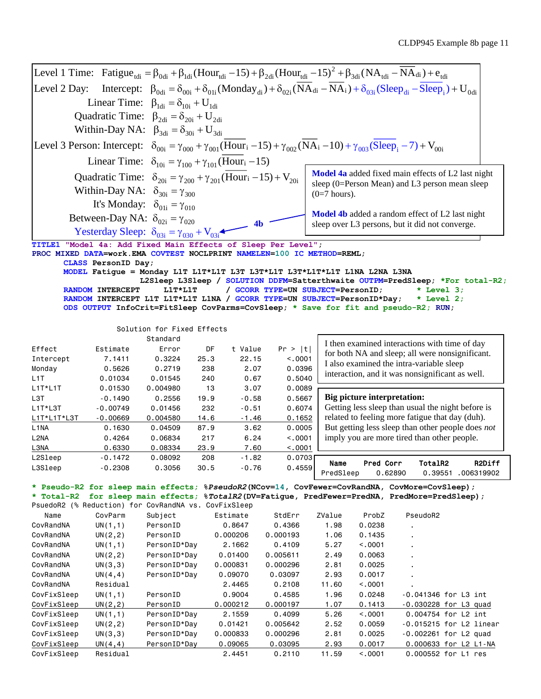|                                                                                                                                                               |                                               |                                                                                                                                                                                                                       |                    |                 |                                   |                                                                                                  |                   | CLDP945 Example 8b page 11                                                                           |  |                    |
|---------------------------------------------------------------------------------------------------------------------------------------------------------------|-----------------------------------------------|-----------------------------------------------------------------------------------------------------------------------------------------------------------------------------------------------------------------------|--------------------|-----------------|-----------------------------------|--------------------------------------------------------------------------------------------------|-------------------|------------------------------------------------------------------------------------------------------|--|--------------------|
|                                                                                                                                                               |                                               | Level 1 Time: Fatigue <sub>tdi</sub> = $\beta_{0d}$ + $\beta_{1d}$ (Hour <sub>tdi</sub> -15) + $\beta_{2d}$ (Hour <sub>tdi</sub> -15) <sup>2</sup> + $\beta_{3d}$ (NA <sub>tdi</sub> - NA <sub>di</sub> ) + $e_{tdi}$ |                    |                 |                                   |                                                                                                  |                   |                                                                                                      |  |                    |
|                                                                                                                                                               |                                               |                                                                                                                                                                                                                       |                    |                 |                                   |                                                                                                  |                   |                                                                                                      |  |                    |
| Level 2 Day:                                                                                                                                                  |                                               | Intercept: $\beta_{0d} = \delta_{00i} + \delta_{01i} (Monday_{di}) + \delta_{02i} (NA_{di} - NA_i) + \delta_{03i} (Sleep_{di} - Sleep_i) + U_{0di}$                                                                   |                    |                 |                                   |                                                                                                  |                   |                                                                                                      |  |                    |
|                                                                                                                                                               |                                               | Linear Time: $\beta_{\text{1di}} = \delta_{\text{10i}} + U_{\text{1di}}$                                                                                                                                              |                    |                 |                                   |                                                                                                  |                   |                                                                                                      |  |                    |
| Quadratic Time: $\beta_{2di} = \delta_{20i} + U_{2di}$                                                                                                        |                                               |                                                                                                                                                                                                                       |                    |                 |                                   |                                                                                                  |                   |                                                                                                      |  |                    |
|                                                                                                                                                               |                                               | Within-Day NA: $\beta_{3di} = \delta_{30i} + U_{3di}$                                                                                                                                                                 |                    |                 |                                   |                                                                                                  |                   |                                                                                                      |  |                    |
|                                                                                                                                                               |                                               | Level 3 Person: Intercept: $\delta_{00i} = \gamma_{000} + \gamma_{001}$ (Hour <sub>i</sub> -15) + $\gamma_{002}$ (NA <sub>i</sub> -10) + $\gamma_{003}$ (Sleep <sub>i</sub> -7) + V <sub>00i</sub>                    |                    |                 |                                   |                                                                                                  |                   |                                                                                                      |  |                    |
|                                                                                                                                                               |                                               | Linear Time: $\delta_{10i} = \gamma_{100} + \gamma_{101}$ (Hour <sub>i</sub> -15)                                                                                                                                     |                    |                 |                                   |                                                                                                  |                   |                                                                                                      |  |                    |
| Model 4a added fixed main effects of L2 last night<br>Quadratic Time: $\delta_{20i} = \gamma_{200} + \gamma_{201}$ (Hour <sub>i</sub> -15) + V <sub>20i</sub> |                                               |                                                                                                                                                                                                                       |                    |                 |                                   |                                                                                                  |                   |                                                                                                      |  |                    |
|                                                                                                                                                               |                                               | Within-Day NA: $\delta_{30i} = \gamma_{300}$                                                                                                                                                                          |                    |                 |                                   |                                                                                                  |                   | sleep (0=Person Mean) and L3 person mean sleep                                                       |  |                    |
|                                                                                                                                                               |                                               |                                                                                                                                                                                                                       |                    |                 |                                   | $(0=7$ hours).                                                                                   |                   |                                                                                                      |  |                    |
|                                                                                                                                                               |                                               | It's Monday: $\delta_{01i} = \gamma_{010}$                                                                                                                                                                            |                    |                 |                                   |                                                                                                  |                   | Model 4b added a random effect of L2 last night                                                      |  |                    |
|                                                                                                                                                               | Between-Day NA: $\delta_{02i} = \gamma_{020}$ |                                                                                                                                                                                                                       |                    | 4h              |                                   |                                                                                                  |                   | sleep over L3 persons, but it did not converge.                                                      |  |                    |
|                                                                                                                                                               |                                               | Yesterday Sleep: $\delta_{03i} = \gamma_{030} + V_{03i}$                                                                                                                                                              |                    |                 |                                   |                                                                                                  |                   |                                                                                                      |  |                    |
| <b>TITLE1</b>                                                                                                                                                 |                                               | "Model 4a: Add Fixed Main Effects of Sleep Per Level";                                                                                                                                                                |                    |                 |                                   |                                                                                                  |                   |                                                                                                      |  |                    |
|                                                                                                                                                               |                                               | PROC MIXED DATA=work.EMA COVTEST NOCLPRINT NAMELEN=100 IC METHOD=REML;                                                                                                                                                |                    |                 |                                   |                                                                                                  |                   |                                                                                                      |  |                    |
|                                                                                                                                                               | CLASS PersonID Day;                           | MODEL Fatigue = Monday L1T L1T*L1T L3T L3T*L1T L3T*L1T*L1T L1NA L2NA L3NA                                                                                                                                             |                    |                 |                                   |                                                                                                  |                   |                                                                                                      |  |                    |
|                                                                                                                                                               |                                               | L2Sleep L3Sleep / SOLUTION DDFM=Satterthwaite OUTPM=PredSleep; *For total-R2;                                                                                                                                         |                    |                 |                                   |                                                                                                  |                   |                                                                                                      |  |                    |
|                                                                                                                                                               | <b>RANDOM INTERCEPT</b>                       | L1T*L1T                                                                                                                                                                                                               |                    |                 | / GCORR TYPE=UN SUBJECT=PersonID; |                                                                                                  |                   | $*$ Level 3;                                                                                         |  |                    |
|                                                                                                                                                               |                                               | RANDOM INTERCEPT L1T L1T*L1T L1NA / GCORR TYPE=UN SUBJECT=PersonID*Day;                                                                                                                                               |                    |                 |                                   |                                                                                                  |                   | $*$ Level 2;                                                                                         |  |                    |
|                                                                                                                                                               |                                               | ODS OUTPUT InfoCrit=FitSleep CovParms=CovSleep; * Save for fit and pseudo-R2; RUN;                                                                                                                                    |                    |                 |                                   |                                                                                                  |                   |                                                                                                      |  |                    |
|                                                                                                                                                               |                                               | Solution for Fixed Effects                                                                                                                                                                                            |                    |                 |                                   |                                                                                                  |                   |                                                                                                      |  |                    |
|                                                                                                                                                               |                                               | Standard                                                                                                                                                                                                              |                    |                 |                                   |                                                                                                  |                   |                                                                                                      |  |                    |
| Effect                                                                                                                                                        | Estimate                                      | Error                                                                                                                                                                                                                 | DF                 | t Value         | Pr >  t                           |                                                                                                  |                   | I then examined interactions with time of day                                                        |  |                    |
| Intercept                                                                                                                                                     | 7.1411                                        | 0.3224                                                                                                                                                                                                                | 25.3               | 22.15           | < 0.001                           |                                                                                                  |                   | for both NA and sleep; all were nonsignificant.                                                      |  |                    |
| Monday                                                                                                                                                        | 0.5626                                        | 0.2719                                                                                                                                                                                                                | 238                | 2.07            | 0.0396                            |                                                                                                  |                   | I also examined the intra-variable sleep                                                             |  |                    |
| L <sub>1</sub> T                                                                                                                                              | 0.01034                                       | 0.01545                                                                                                                                                                                                               | 240                | 0.67            | 0.5040                            |                                                                                                  |                   | interaction, and it was nonsignificant as well.                                                      |  |                    |
| $L1T*L1T$                                                                                                                                                     | 0.01530                                       | 0.004980                                                                                                                                                                                                              | 13                 | 3.07            | 0.0089                            |                                                                                                  |                   |                                                                                                      |  |                    |
| L3T                                                                                                                                                           | $-0.1490$                                     | 0.2556                                                                                                                                                                                                                | 19.9               | $-0.58$         | 0.5667                            |                                                                                                  |                   | <b>Big picture interpretation:</b>                                                                   |  |                    |
| L1T*L3T                                                                                                                                                       | $-0.00749$                                    | 0.01456                                                                                                                                                                                                               | 232                | $-0.51$         | 0.6074                            |                                                                                                  |                   | Getting less sleep than usual the night before is<br>related to feeling more fatigue that day (duh). |  |                    |
| L1T*L1T*L3T<br>L <sub>1</sub> NA                                                                                                                              | $-0.00669$<br>0.1630                          | 0.004580<br>0.04509                                                                                                                                                                                                   | 14.6<br>87.9       | $-1.46$<br>3.62 | 0.1652<br>0.0005                  |                                                                                                  |                   |                                                                                                      |  |                    |
| L <sub>2</sub> NA                                                                                                                                             | 0.4264                                        | 0.06834                                                                                                                                                                                                               | 217                | 6.24            | < .0001                           | But getting less sleep than other people does not<br>imply you are more tired than other people. |                   |                                                                                                      |  |                    |
| L3NA                                                                                                                                                          | 0.6330                                        | 0.08334                                                                                                                                                                                                               | 23.9               | 7.60            | < .0001                           |                                                                                                  |                   |                                                                                                      |  |                    |
| L2Sleep                                                                                                                                                       | $-0.1472$                                     | 0.08092                                                                                                                                                                                                               | 208                | $-1.82$         | 0.0703                            |                                                                                                  |                   |                                                                                                      |  |                    |
| L3Sleep                                                                                                                                                       | $-0.2308$                                     | 0.3056                                                                                                                                                                                                                | 30.5               | $-0.76$         | 0.4559                            | Name<br>PredSleep                                                                                | Pred Corr         | TotalR2                                                                                              |  | R2Diff             |
|                                                                                                                                                               |                                               |                                                                                                                                                                                                                       |                    |                 |                                   |                                                                                                  |                   | 0.62890                                                                                              |  | 0.39551 .006319902 |
|                                                                                                                                                               |                                               | * Pseudo-R2 for sleep main effects; %PseudoR2(NCov=14, CovFewer=CovRandNA, CovMore=CovSleep);                                                                                                                         |                    |                 |                                   |                                                                                                  |                   |                                                                                                      |  |                    |
| * Total-R2                                                                                                                                                    |                                               | for sleep main effects; \%TotalR2(DV=Fatigue, PredFewer=PredNA, PredMore=PredSleep);<br>PsuedoR2 (% Reduction) for CovRandNA vs. CovFixSleep                                                                          |                    |                 |                                   |                                                                                                  |                   |                                                                                                      |  |                    |
| Name                                                                                                                                                          | CovParm                                       | Subject                                                                                                                                                                                                               | Estimate           |                 | StdErr                            | ZValue                                                                                           | ProbZ             | PseudoR2                                                                                             |  |                    |
| CovRandNA                                                                                                                                                     | UN(1,1)                                       | PersonID                                                                                                                                                                                                              | 0.8647             |                 | 0.4366                            | 1.98                                                                                             | 0.0238            |                                                                                                      |  |                    |
| CovRandNA                                                                                                                                                     | UN(2,2)                                       | PersonID                                                                                                                                                                                                              | 0.000206           |                 | 0.000193                          | 1.06                                                                                             | 0.1435            |                                                                                                      |  |                    |
| CovRandNA                                                                                                                                                     | UN(1,1)                                       | PersonID*Day                                                                                                                                                                                                          | 2.1662             |                 | 0.4109                            | 5.27                                                                                             | < .0001           |                                                                                                      |  |                    |
| CovRandNA                                                                                                                                                     | UN(2, 2)                                      | PersonID*Day                                                                                                                                                                                                          | 0.01400            |                 | 0.005611                          | 2.49                                                                                             | 0.0063            |                                                                                                      |  |                    |
| CovRandNA                                                                                                                                                     | UN(3,3)                                       | PersonID*Day                                                                                                                                                                                                          | 0.000831           |                 | 0.000296                          | 2.81                                                                                             | 0.0025            |                                                                                                      |  |                    |
| CovRandNA                                                                                                                                                     | UN(4, 4)                                      | PersonID*Day                                                                                                                                                                                                          | 0.09070            |                 | 0.03097                           | 2.93                                                                                             | 0.0017            |                                                                                                      |  |                    |
| CovRandNA                                                                                                                                                     | Residual                                      |                                                                                                                                                                                                                       | 2.4465             |                 | 0.2108                            | 11.60                                                                                            | < .0001           |                                                                                                      |  |                    |
| CovFixSleep                                                                                                                                                   | UN(1,1)                                       | PersonID                                                                                                                                                                                                              | 0.9004             |                 | 0.4585                            | 1.96                                                                                             | 0.0248            | -0.041346 for L3 int                                                                                 |  |                    |
| CovFixSleep<br>CovFixSleep                                                                                                                                    | UN(2, 2)<br>UN(1,1)                           | PersonID<br>PersonID*Day                                                                                                                                                                                              | 0.000212<br>2.1559 |                 | 0.000197<br>0.4099                | 1.07<br>5.26                                                                                     | 0.1413<br>< .0001 | $-0.030228$ for L3 quad<br>0.004754 for L2 int                                                       |  |                    |
| CovFixSleep                                                                                                                                                   | UN(2,2)                                       | PersonID*Day                                                                                                                                                                                                          | 0.01421            |                 | 0.005642                          | 2.52                                                                                             | 0.0059            | $-0.015215$ for L2 linear                                                                            |  |                    |
| CovFixSleep                                                                                                                                                   | UN(3,3)                                       | PersonID*Day                                                                                                                                                                                                          | 0.000833           |                 | 0.000296                          | 2.81                                                                                             | 0.0025            | $-0.002261$ for L2 quad                                                                              |  |                    |
| CovFixSleep                                                                                                                                                   | UN(4, 4)                                      | PersonID*Day                                                                                                                                                                                                          | 0.09065            |                 | 0.03095                           | 2.93                                                                                             | 0.0017            | 0.000633 for L2 L1-NA                                                                                |  |                    |
| CovFixSleep                                                                                                                                                   | Residual                                      |                                                                                                                                                                                                                       | 2.4451             |                 | 0.2110                            | 11.59                                                                                            | < .0001           | 0.000552 for L1 res                                                                                  |  |                    |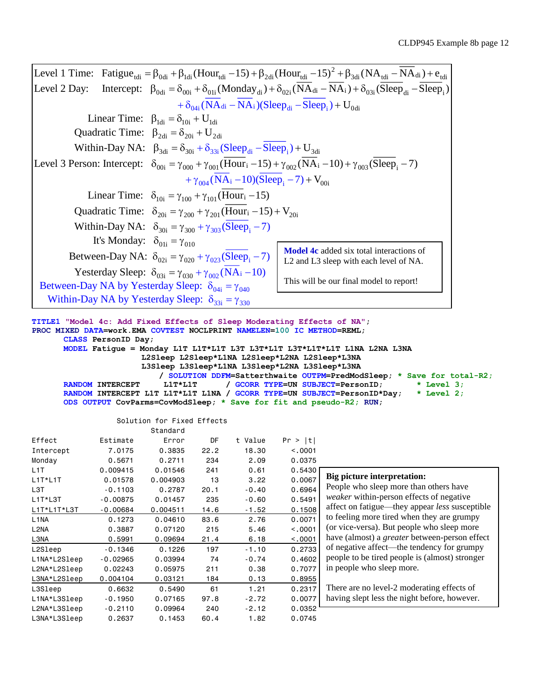|                                                                                                                                                                                                                       | CLDP945 Example 8b page                                                                                                                     |
|-----------------------------------------------------------------------------------------------------------------------------------------------------------------------------------------------------------------------|---------------------------------------------------------------------------------------------------------------------------------------------|
| Level 1 Time: Fatigue <sub>tdi</sub> = $\beta_{0d}$ + $\beta_{1d}$ (Hour <sub>tdi</sub> -15) + $\beta_{2d}$ (Hour <sub>tdi</sub> -15) <sup>2</sup> + $\beta_{3d}$ (NA <sub>tdi</sub> - NA <sub>di</sub> ) + $e_{tdi}$ |                                                                                                                                             |
| Level 2 Day:                                                                                                                                                                                                          | Intercept: $\beta_{0d_i} = \delta_{00i} + \delta_{01i} (Monday_{di}) + \delta_{02i} (NA_{di} - NA_i) + \delta_{03i} (Sleep_{di} - Sleep_i)$ |
| $+\delta_{0.4}$ ; (NA <sub>di</sub> - NA <sub>i</sub> )(Sleep <sub>di</sub> - Sleep <sub>i</sub> ) + U <sub>0di</sub>                                                                                                 |                                                                                                                                             |
| Linear Time: $\beta_{\text{1di}} = \delta_{\text{10i}} + U_{\text{1di}}$                                                                                                                                              |                                                                                                                                             |
| Quadratic Time: $\beta_{2di} = \delta_{20i} + U_{2di}$                                                                                                                                                                |                                                                                                                                             |
| Within-Day NA: $\beta_{3di} = \delta_{30i} + \delta_{33i} (Sleep_{di} -Sleep_i) + U_{3di}$                                                                                                                            |                                                                                                                                             |
| Level 3 Person: Intercept: $\delta_{.00i} = \gamma_{.000} + \gamma_{.001}$ (Hour <sub>i</sub> -15) + $\gamma_{.002}$ (NA <sub>i</sub> -10) + $\gamma_{.003}$ (Sleep <sub>i</sub> -7)                                  |                                                                                                                                             |
| $+\gamma_{004} (NA_i - 10)(Sleep_i - 7) + V_{00i}$                                                                                                                                                                    |                                                                                                                                             |
| Linear Time: $\delta_{10i} = \gamma_{100} + \gamma_{101}$ (Hour <sub>i</sub> -15)                                                                                                                                     |                                                                                                                                             |
| Quadratic Time: $\delta_{20i} = \gamma_{200} + \gamma_{201}$ (Hour <sub>i</sub> -15) + V <sub>201</sub>                                                                                                               |                                                                                                                                             |
| Within-Day NA: $\delta_{30i} = \gamma_{300} + \gamma_{303}$ (Sleep <sub>i</sub> - 7)                                                                                                                                  |                                                                                                                                             |
| It's Monday: $\delta_{01i} = \gamma_{010}$                                                                                                                                                                            |                                                                                                                                             |
| Between-Day NA: $\delta_{.02i} = \gamma_{.020} + \gamma_{.023}$ (Sleep <sub>i</sub> - 7)                                                                                                                              | <b>Model 4c</b> added six total interactions of<br>L <sub>2</sub> and L <sub>3</sub> sleep with each level of NA.                           |
| Yesterday Sleep: $\delta_{03i} = \gamma_{030} + \gamma_{002} (NA_i - 10)$                                                                                                                                             |                                                                                                                                             |
| Between-Day NA by Yesterday Sleep: $\delta_{04i} = \gamma_{040}$                                                                                                                                                      | This will be our final model to report!                                                                                                     |
| Within-Day NA by Yesterday Sleep: $\delta_{33i} = \gamma_{330}$                                                                                                                                                       |                                                                                                                                             |

**TITLE1 "Model 4c: Add Fixed Effects of Sleep Moderating Effects of NA"; PROC MIXED DATA=work.EMA COVTEST NOCLPRINT NAMELEN=100 IC METHOD=REML; CLASS PersonID Day; MODEL Fatigue = Monday L1T L1T\*L1T L3T L3T\*L1T L3T\*L1T\*L1T L1NA L2NA L3NA L2Sleep L2Sleep\*L1NA L2Sleep\*L2NA L2Sleep\*L3NA L3Sleep L3Sleep\*L1NA L3Sleep\*L2NA L3Sleep\*L3NA / SOLUTION DDFM=Satterthwaite OUTPM=PredModSleep; \* Save for total-R2; RANDOM INTERCEPT L1T\*L1T / GCORR TYPE=UN SUBJECT=PersonID; \* Level 3; RANDOM INTERCEPT L1T L1T\*L1T L1NA / GCORR TYPE=UN SUBJECT=PersonID\*Day; \* Level 2; ODS OUTPUT CovParms=CovModSleep; \* Save for fit and pseudo-R2; RUN;**

### Solution for Fixed Effects

|                               |            | Standard |      |         |         |
|-------------------------------|------------|----------|------|---------|---------|
| Effect                        | Estimate   | Error    | DF   | t Value | Pr >  t |
| Intercept                     | 7.0175     | 0.3835   | 22.2 | 18.30   | < 0.001 |
| Monday                        | 0.5671     | 0.2711   | 234  | 2.09    | 0.0375  |
| L <sub>1</sub> T              | 0.009415   | 0.01546  | 241  | 0.61    | 0.5430  |
| $L1T*L1T$                     | 0.01578    | 0.004903 | 13   | 3.22    | 0.0067  |
| L <sub>3</sub> T              | $-0.1103$  | 0.2787   | 20.1 | $-0.40$ | 0.6964  |
| L1T*L3T                       | $-0.00875$ | 0.01457  | 235  | $-0.60$ | 0.5491  |
| L1T*L1T*L3T                   | $-0.00684$ | 0.004511 | 14.6 | $-1.52$ | 0.1508  |
| L <sub>1</sub> NA             | 0.1273     | 0.04610  | 83.6 | 2.76    | 0.0071  |
| L <sub>2</sub> N <sub>A</sub> | 0.3887     | 0.07120  | 215  | 5.46    | < 0.001 |
| L3NA                          | 0.5991     | 0.09694  | 21.4 | 6.18    | < .0001 |
| L2Sleep                       | $-0.1346$  | 0.1226   | 197  | $-1.10$ | 0.2733  |
| L1NA*L2Sleep                  | $-0.02965$ | 0.03994  | 74   | $-0.74$ | 0.4602  |
| L2NA*L2Sleep                  | 0.02243    | 0.05975  | 211  | 0.38    | 0.7077  |
| L3NA*L2Sleep                  | 0.004104   | 0.03121  | 184  | 0.13    | 0.8955  |
| L3Sleep                       | 0.6632     | 0.5490   | 61   | 1.21    | 0.2317  |
| L1NA*L3Sleep                  | $-0.1950$  | 0.07165  | 97.8 | $-2.72$ | 0.0077  |
| L2NA*L3Sleep                  | $-0.2110$  | 0.09964  | 240  | $-2.12$ | 0.0352  |
| L3NA*L3Sleep                  | 0.2637     | 0.1453   | 60.4 | 1.82    | 0.0745  |
|                               |            |          |      |         |         |

| : 1            |                                                      |
|----------------|------------------------------------------------------|
| $\mathbf{1}$   |                                                      |
| 5              |                                                      |
| 0<br>7         | Big picture interpretation:                          |
|                |                                                      |
| 4              | People who sleep more than others have               |
| $\mathbf{1}$   | weaker within-person effects of negative             |
|                | affect on fatigue—they appear less susceptible       |
| $\frac{18}{1}$ | to feeling more tired when they are grumpy           |
| $\mathbf{1}$   | (or vice-versa). But people who sleep more           |
| $\frac{1}{3}$  | have (almost) a <i>greater</i> between-person effect |
|                | of negative affect—the tendency for grumpy           |
| $\overline{2}$ | people to be tired people is (almost) stronger       |
| $\overline{7}$ | in people who sleep more.                            |
| $rac{5}{7}$    |                                                      |
|                | There are no level-2 moderating effects of           |
| $\overline{7}$ | having slept less the night before, however.         |
|                |                                                      |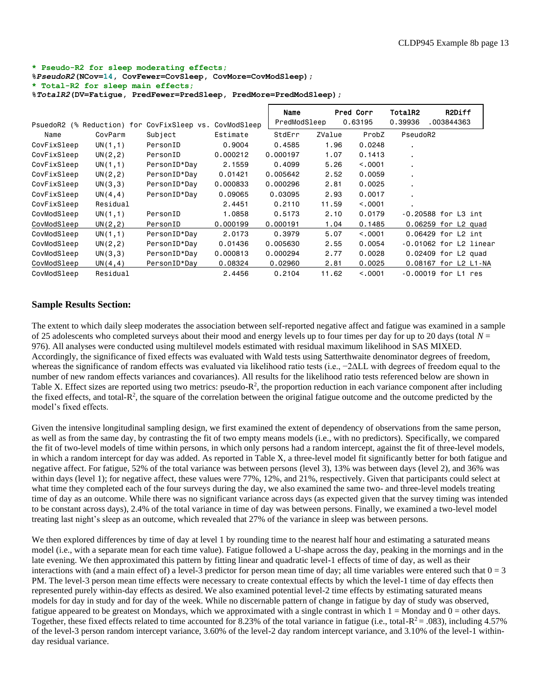#### **\* Pseudo-R2 for sleep moderating effects;**

**%***PseudoR2***(NCov=14, CovFewer=CovSleep, CovMore=CovModSleep); \* Total-R2 for sleep main effects;**

**%***TotalR2***(DV=Fatigue, PredFewer=PredSleep, PredMore=PredModSleep);**

| PsuedoR2    | (% Reduction) for | CovFixSleep vs. | CovModSleep | Name<br>PredModSleep |        | Pred Corr<br>0.63195 | <b>TotalR2</b><br>0.39936 | .003844363               | R2Diff |  |
|-------------|-------------------|-----------------|-------------|----------------------|--------|----------------------|---------------------------|--------------------------|--------|--|
| Name        | CovParm           | Subject         | Estimate    | StdErr               | ZValue | ProbZ                | PseudoR2                  |                          |        |  |
| CovFixSleep | UN(1,1)           | PersonID        | 0.9004      | 0.4585               | 1.96   | 0.0248               |                           |                          |        |  |
| CovFixSleep | UN(2, 2)          | PersonID        | 0.000212    | 0.000197             | 1.07   | 0.1413               | $\blacksquare$            |                          |        |  |
| CovFixSleep | UN(1,1)           | PersonID*Day    | 2.1559      | 0.4099               | 5.26   | < 0.001              |                           |                          |        |  |
| CovFixSleep | UN(2, 2)          | PersonID*Day    | 0.01421     | 0.005642             | 2.52   | 0.0059               |                           |                          |        |  |
| CovFixSleep | UN(3,3)           | PersonID*Day    | 0.000833    | 0.000296             | 2.81   | 0.0025               | $\blacksquare$            |                          |        |  |
| CovFixSleep | UN(4, 4)          | PersonID*Day    | 0.09065     | 0.03095              | 2.93   | 0.0017               |                           |                          |        |  |
| CovFixSleep | Residual          |                 | 2.4451      | 0.2110               | 11.59  | < 0.0001             |                           |                          |        |  |
| CovModSleep | UN(1,1)           | PersonID        | 1.0858      | 0.5173               | 2.10   | 0.0179               |                           | -0.20588 for L3 int      |        |  |
| CovModSleep | UN(2, 2)          | PersonID        | 0.000199    | 0.000191             | 1.04   | 0.1485               |                           | 0.06259 for L2 quad      |        |  |
| CovModSleep | UN(1,1)           | PersonID*Day    | 2.0173      | 0.3979               | 5.07   | < 0.001              |                           | 0.06429 for L2 int       |        |  |
| CovModSleep | UN(2, 2)          | PersonID*Day    | 0.01436     | 0.005630             | 2.55   | 0.0054               |                           | $-0.01062$ for L2 linear |        |  |
| CovModSleep | UN(3,3)           | PersonID*Day    | 0.000813    | 0.000294             | 2.77   | 0.0028               |                           | 0.02409 for L2 quad      |        |  |
| CovModSleep | UN(4, 4)          | PersonID*Day    | 0.08324     | 0,02960              | 2.81   | 0.0025               |                           | 0.08167 for L2 L1-NA     |        |  |
| CovModSleep | Residual          |                 | 2.4456      | 0.2104               | 11.62  | < 0.001              |                           | $-0.00019$ for L1 res    |        |  |

## **Sample Results Section:**

The extent to which daily sleep moderates the association between self-reported negative affect and fatigue was examined in a sample of 25 adolescents who completed surveys about their mood and energy levels up to four times per day for up to 20 days (total *N* = 976). All analyses were conducted using multilevel models estimated with residual maximum likelihood in SAS MIXED. Accordingly, the significance of fixed effects was evaluated with Wald tests using Satterthwaite denominator degrees of freedom, whereas the significance of random effects was evaluated via likelihood ratio tests (i.e., −2ΔLL with degrees of freedom equal to the number of new random effects variances and covariances). All results for the likelihood ratio tests referenced below are shown in Table X. Effect sizes are reported using two metrics: pseudo-R<sup>2</sup>, the proportion reduction in each variance component after including the fixed effects, and total-R<sup>2</sup>, the square of the correlation between the original fatigue outcome and the outcome predicted by the model's fixed effects.

Given the intensive longitudinal sampling design, we first examined the extent of dependency of observations from the same person, as well as from the same day, by contrasting the fit of two empty means models (i.e., with no predictors). Specifically, we compared the fit of two-level models of time within persons, in which only persons had a random intercept, against the fit of three-level models, in which a random intercept for day was added. As reported in Table X, a three-level model fit significantly better for both fatigue and negative affect. For fatigue, 52% of the total variance was between persons (level 3), 13% was between days (level 2), and 36% was within days (level 1); for negative affect, these values were 77%, 12%, and 21%, respectively. Given that participants could select at what time they completed each of the four surveys during the day, we also examined the same two- and three-level models treating time of day as an outcome. While there was no significant variance across days (as expected given that the survey timing was intended to be constant across days), 2.4% of the total variance in time of day was between persons. Finally, we examined a two-level model treating last night's sleep as an outcome, which revealed that 27% of the variance in sleep was between persons.

We then explored differences by time of day at level 1 by rounding time to the nearest half hour and estimating a saturated means model (i.e., with a separate mean for each time value). Fatigue followed a U-shape across the day, peaking in the mornings and in the late evening. We then approximated this pattern by fitting linear and quadratic level-1 effects of time of day, as well as their interactions with (and a main effect of) a level-3 predictor for person mean time of day; all time variables were entered such that  $0 = 3$ PM. The level-3 person mean time effects were necessary to create contextual effects by which the level-1 time of day effects then represented purely within-day effects as desired. We also examined potential level-2 time effects by estimating saturated means models for day in study and for day of the week. While no discernable pattern of change in fatigue by day of study was observed, fatigue appeared to be greatest on Mondays, which we approximated with a single contrast in which  $1 =$  Monday and  $0 =$  other days. Together, these fixed effects related to time accounted for 8.23% of the total variance in fatigue (i.e., total- $R^2 = .083$ ), including 4.57% of the level-3 person random intercept variance, 3.60% of the level-2 day random intercept variance, and 3.10% of the level-1 withinday residual variance.